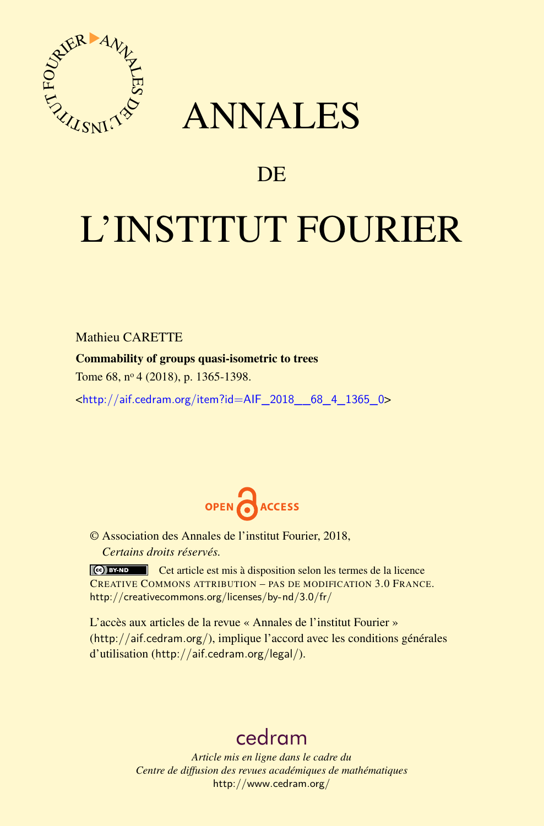

# ANNALES

## **DE**

# L'INSTITUT FOURIER

Mathieu CARETTE

Commability of groups quasi-isometric to trees

Tome 68, nº 4 (2018), p. 1365-1398.

<[http://aif.cedram.org/item?id=AIF\\_2018\\_\\_68\\_4\\_1365\\_0](http://aif.cedram.org/item?id=AIF_2018__68_4_1365_0)>



© Association des Annales de l'institut Fourier, 2018, *Certains droits réservés.*

Cet article est mis à disposition selon les termes de la licence CREATIVE COMMONS ATTRIBUTION – PAS DE MODIFICATION 3.0 FRANCE. <http://creativecommons.org/licenses/by-nd/3.0/fr/>

L'accès aux articles de la revue « Annales de l'institut Fourier » (<http://aif.cedram.org/>), implique l'accord avec les conditions générales d'utilisation (<http://aif.cedram.org/legal/>).

## [cedram](http://www.cedram.org/)

*Article mis en ligne dans le cadre du Centre de diffusion des revues académiques de mathématiques* <http://www.cedram.org/>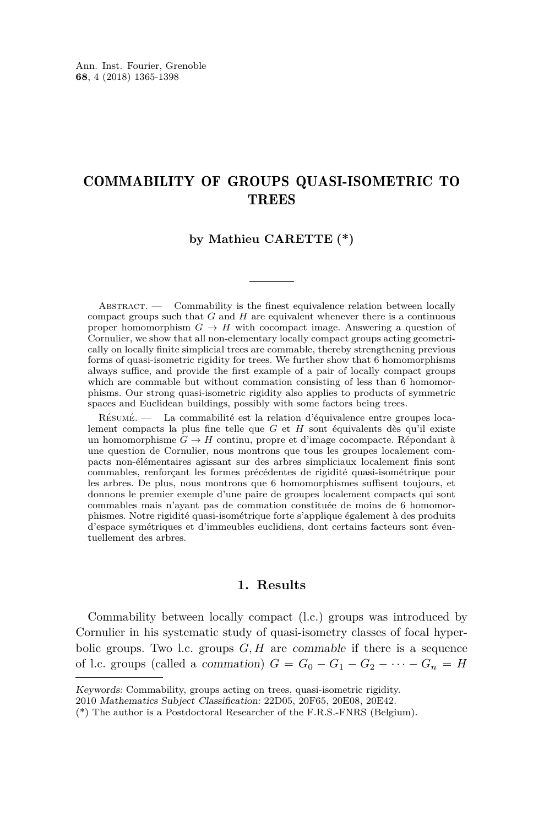### COMMABILITY OF GROUPS QUASI-ISOMETRIC TO **TREES**

#### **by Mathieu CARETTE (\*)**

ABSTRACT. — Commability is the finest equivalence relation between locally compact groups such that *G* and *H* are equivalent whenever there is a continuous proper homomorphism  $G \to H$  with cocompact image. Answering a question of Cornulier, we show that all non-elementary locally compact groups acting geometrically on locally finite simplicial trees are commable, thereby strengthening previous forms of quasi-isometric rigidity for trees. We further show that 6 homomorphisms always suffice, and provide the first example of a pair of locally compact groups which are commable but without commation consisting of less than 6 homomorphisms. Our strong quasi-isometric rigidity also applies to products of symmetric spaces and Euclidean buildings, possibly with some factors being trees.

Résumé. — La commabilité est la relation d'équivalence entre groupes localement compacts la plus fine telle que *G* et *H* sont équivalents dès qu'il existe un homomorphisme  $G \to H$  continu, propre et d'image cocompacte. Répondant à une question de Cornulier, nous montrons que tous les groupes localement compacts non-élémentaires agissant sur des arbres simpliciaux localement finis sont commables, renforçant les formes précédentes de rigidité quasi-isométrique pour les arbres. De plus, nous montrons que 6 homomorphismes suffisent toujours, et donnons le premier exemple d'une paire de groupes localement compacts qui sont commables mais n'ayant pas de commation constituée de moins de 6 homomorphismes. Notre rigidité quasi-isométrique forte s'applique également à des produits d'espace symétriques et d'immeubles euclidiens, dont certains facteurs sont éventuellement des arbres.

#### **1. Results**

Commability between locally compact (l.c.) groups was introduced by Cornulier in his systematic study of quasi-isometry classes of focal hyperbolic groups. Two l.c. groups  $G, H$  are commable if there is a sequence of l.c. groups (called a *commation*)  $G = G_0 - G_1 - G_2 - \cdots - G_n = H$ 

Keywords: Commability, groups acting on trees, quasi-isometric rigidity.

<sup>2010</sup> Mathematics Subject Classification: 22D05, 20F65, 20E08, 20E42.

<sup>(\*)</sup> The author is a Postdoctoral Researcher of the F.R.S.-FNRS (Belgium).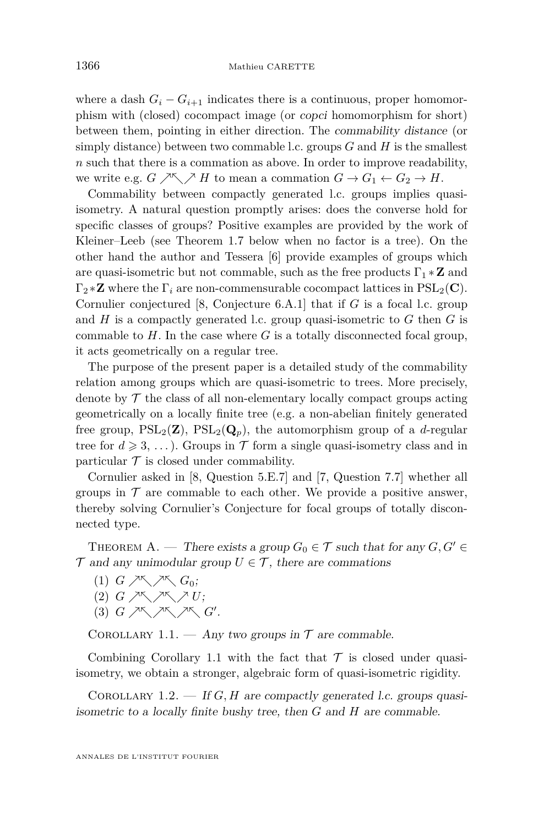where a dash  $G_i - G_{i+1}$  indicates there is a continuous, proper homomorphism with (closed) cocompact image (or copci homomorphism for short) between them, pointing in either direction. The commability distance (or simply distance) between two commable l.c. groups *G* and *H* is the smallest *n* such that there is a commation as above. In order to improve readability, we write e.g.  $G \nearrow \bigvee H$  to mean a commation  $G \to G_1 \leftarrow G_2 \to H$ .

Commability between compactly generated l.c. groups implies quasiisometry. A natural question promptly arises: does the converse hold for specific classes of groups? Positive examples are provided by the work of Kleiner–Leeb (see Theorem [1.7](#page-4-0) below when no factor is a tree). On the other hand the author and Tessera [\[6\]](#page-33-0) provide examples of groups which are quasi-isometric but not commable, such as the free products  $\Gamma_1 * \mathbf{Z}$  and  $\Gamma_2 * \mathbb{Z}$  where the  $\Gamma_i$  are non-commensurable cocompact lattices in  $PSL_2(\mathbf{C})$ . Cornulier conjectured [\[8,](#page-33-1) Conjecture 6.A.1] that if *G* is a focal l.c. group and *H* is a compactly generated l.c. group quasi-isometric to *G* then *G* is commable to  $H$ . In the case where  $G$  is a totally disconnected focal group, it acts geometrically on a regular tree.

The purpose of the present paper is a detailed study of the commability relation among groups which are quasi-isometric to trees. More precisely, denote by  $\mathcal T$  the class of all non-elementary locally compact groups acting geometrically on a locally finite tree (e.g. a non-abelian finitely generated free group,  $PSL_2(\mathbf{Z})$ ,  $PSL_2(\mathbf{Q}_p)$ , the automorphism group of a *d*-regular tree for  $d \geq 3, \ldots$ ). Groups in  $\mathcal T$  form a single quasi-isometry class and in particular  $\mathcal T$  is closed under commability.

Cornulier asked in [\[8,](#page-33-1) Question 5.E.7] and [\[7,](#page-33-2) Question 7.7] whether all groups in  $\mathcal T$  are commable to each other. We provide a positive answer, thereby solving Cornulier's Conjecture for focal groups of totally disconnected type.

<span id="page-2-1"></span>THEOREM A. — There exists a group  $G_0 \in \mathcal{T}$  such that for any  $G, G' \in$  $\mathcal T$  and any unimodular group  $U \in \mathcal T$ , there are commations

- <span id="page-2-5"></span> $(1)$  *G*  $\nearrow \sqrt{\phantom{a}}$  *G*<sub>0</sub>;
- <span id="page-2-3"></span>(2) *G* %-%-% *U*;
- <span id="page-2-4"></span> $(3)$  *G*  $\nearrow$ <sup>K</sup> $\nearrow$ <sup>K</sup> $\nearrow$ <sup>K</sup> $\qquad$  *G'*.

<span id="page-2-0"></span>COROLLARY 1.1. — Any two groups in  $\mathcal T$  are commable.

Combining Corollary [1.1](#page-2-0) with the fact that  $\mathcal T$  is closed under quasiisometry, we obtain a stronger, algebraic form of quasi-isometric rigidity.

<span id="page-2-2"></span>COROLLARY 1.2.  $\overline{H}$  *G, H* are compactly generated l.c. groups quasiisometric to a locally finite bushy tree, then *G* and *H* are commable.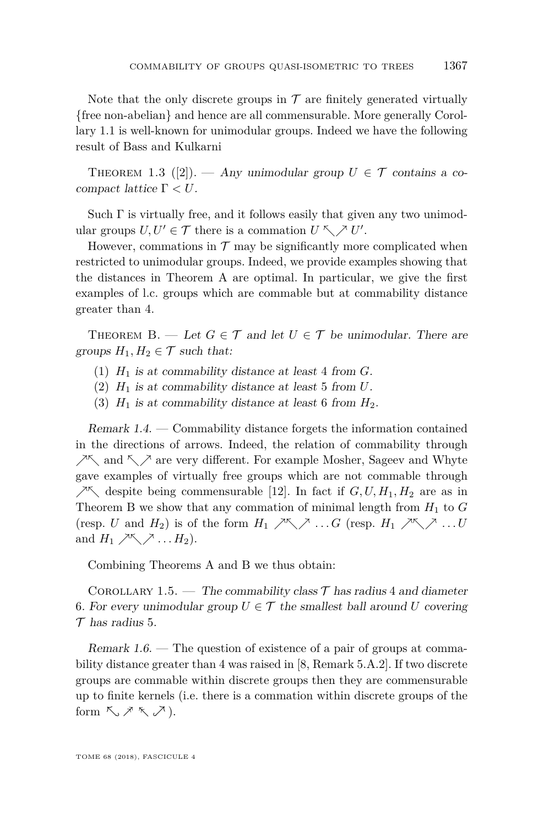Note that the only discrete groups in  $\mathcal T$  are finitely generated virtually {free non-abelian} and hence are all commensurable. More generally Corollary [1.1](#page-2-0) is well-known for unimodular groups. Indeed we have the following result of Bass and Kulkarni

<span id="page-3-1"></span>THEOREM 1.3 ([\[2\]](#page-33-3)). — Any unimodular group  $U \in \mathcal{T}$  contains a cocompact lattice  $\Gamma < U$ .

Such  $\Gamma$  is virtually free, and it follows easily that given any two unimodular groups  $U, U' \in \mathcal{T}$  there is a commation  $U \setminus \bigwedge U'$ .

However, commations in  $\mathcal T$  may be significantly more complicated when restricted to unimodular groups. Indeed, we provide examples showing that the distances in Theorem [A](#page-2-1) are optimal. In particular, we give the first examples of l.c. groups which are commable but at commability distance greater than 4.

<span id="page-3-0"></span>THEOREM B. — Let  $G \in \mathcal{T}$  and let  $U \in \mathcal{T}$  be unimodular. There are groups  $H_1, H_2 \in \mathcal{T}$  such that:

- (1)  $H_1$  is at commability distance at least 4 from  $G$ .
- <span id="page-3-2"></span>(2) *H*<sup>1</sup> is at commability distance at least 5 from *U*.
- (3)  $H_1$  is at commability distance at least 6 from  $H_2$ .

Remark 1.4. — Commability distance forgets the information contained in the directions of arrows. Indeed, the relation of commability through  $\nearrow$  and  $\nwarrow$  are very different. For example Mosher, Sageev and Whyte gave examples of virtually free groups which are not commable through  $\nearrow$  despite being commensurable [\[12\]](#page-33-4). In fact if  $G, U, H_1, H_2$  are as in Theorem [B](#page-3-0) we show that any commation of minimal length from  $H_1$  to  $G$ (resp. *U* and  $H_2$ ) is of the form  $H_1 \nearrow \nearrow \nearrow \dots G$  (resp.  $H_1 \nearrow \nearrow \nearrow \dots U$ and  $H_1 \nearrow \nearrow \nearrow \dots H_2$ .

Combining Theorems [A](#page-2-1) and [B](#page-3-0) we thus obtain:

COROLLARY 1.5. — The commability class  $\mathcal T$  has radius 4 and diameter 6. For every unimodular group  $U \in \mathcal{T}$  the smallest ball around *U* covering  $\mathcal T$  has radius 5.

Remark 1.6. — The question of existence of a pair of groups at commability distance greater than 4 was raised in [\[8,](#page-33-1) Remark 5.A.2]. If two discrete groups are commable within discrete groups then they are commensurable up to finite kernels (i.e. there is a commation within discrete groups of the form へ*ぇ*ゃ へ.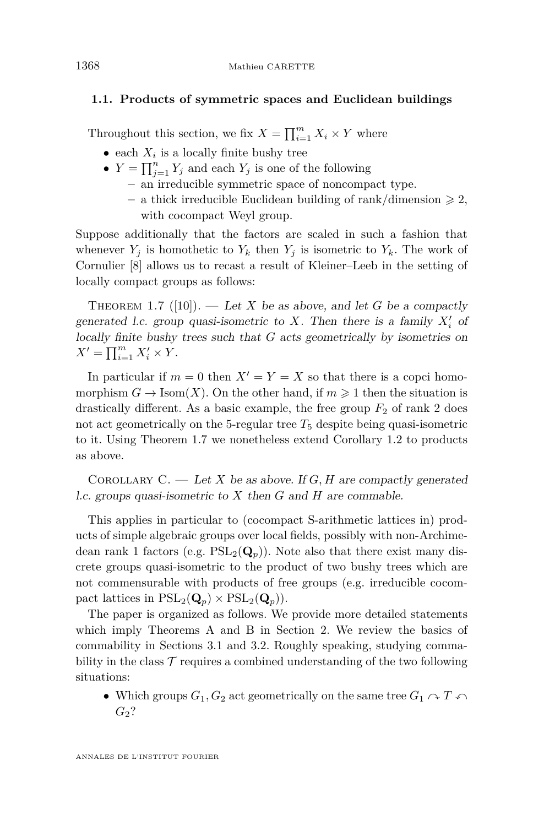#### <span id="page-4-2"></span>**1.1. Products of symmetric spaces and Euclidean buildings**

Throughout this section, we fix  $X = \prod_{i=1}^{m} X_i \times Y$  where

- each  $X_i$  is a locally finite bushy tree
- $Y = \prod_{j=1}^{n} Y_j$  and each  $Y_j$  is one of the following
	- **–** an irreducible symmetric space of noncompact type.
	- a thick irreducible Euclidean building of rank/dimension  $\geq 2$ , with cocompact Weyl group.

Suppose additionally that the factors are scaled in such a fashion that whenever  $Y_i$  is homothetic to  $Y_k$  then  $Y_j$  is isometric to  $Y_k$ . The work of Cornulier [\[8\]](#page-33-1) allows us to recast a result of Kleiner–Leeb in the setting of locally compact groups as follows:

<span id="page-4-0"></span>THEOREM 1.7 ([\[10\]](#page-33-5)). — Let X be as above, and let G be a compactly generated l.c. group quasi-isometric to  $X$ . Then there is a family  $X_i'$  of locally finite bushy trees such that *G* acts geometrically by isometries on  $X' = \prod_{i=1}^m X'_i \times Y$ .

In particular if  $m = 0$  then  $X' = Y = X$  so that there is a copci homomorphism  $G \to \text{Isom}(X)$ . On the other hand, if  $m \geq 1$  then the situation is drastically different. As a basic example, the free group  $F_2$  of rank 2 does not act geometrically on the 5-regular tree  $T<sub>5</sub>$  despite being quasi-isometric to it. Using Theorem [1.7](#page-4-0) we nonetheless extend Corollary [1.2](#page-2-2) to products as above.

<span id="page-4-1"></span>COROLLARY  $C.$  — Let *X* be as above. If *G*, *H* are compactly generated l.c. groups quasi-isometric to *X* then *G* and *H* are commable.

This applies in particular to (cocompact S-arithmetic lattices in) products of simple algebraic groups over local fields, possibly with non-Archimedean rank 1 factors (e.g.  $PSL_2(Q_n)$ ). Note also that there exist many discrete groups quasi-isometric to the product of two bushy trees which are not commensurable with products of free groups (e.g. irreducible cocompact lattices in  $PSL_2(Q_p) \times PSL_2(Q_p)$ .

The paper is organized as follows. We provide more detailed statements which imply Theorems [A](#page-2-1) and [B](#page-3-0) in Section [2.](#page-5-0) We review the basics of commability in Sections [3.1](#page-8-0) and [3.2.](#page-9-0) Roughly speaking, studying commability in the class  $\mathcal T$  requires a combined understanding of the two following situations:

• Which groups  $G_1, G_2$  act geometrically on the same tree  $G_1 \cap T \cap T$ *G*2?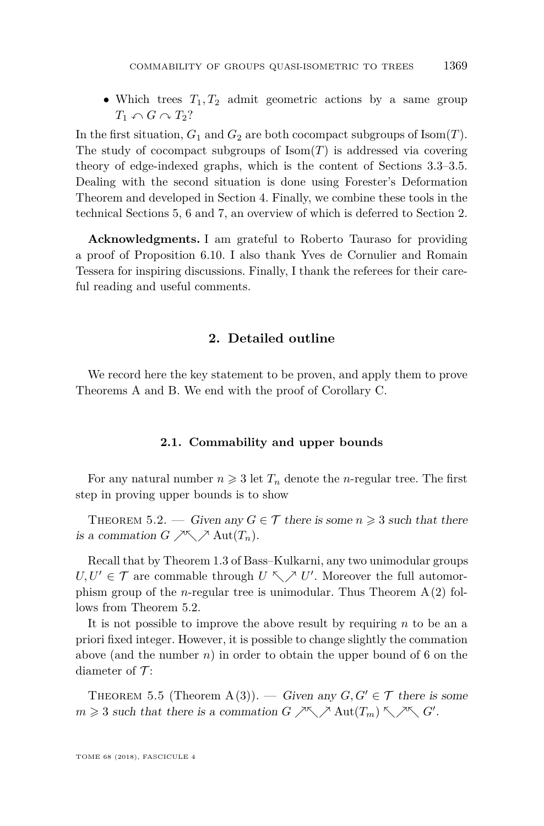• Which trees  $T_1, T_2$  admit geometric actions by a same group  $T_1 \cap G \cap T_2$ ?

In the first situation,  $G_1$  and  $G_2$  are both cocompact subgroups of Isom $(T)$ . The study of cocompact subgroups of  $\text{Isom}(T)$  is addressed via covering theory of edge-indexed graphs, which is the content of Sections [3.3–](#page-10-0)[3.5.](#page-11-0) Dealing with the second situation is done using Forester's Deformation Theorem and developed in Section [4.](#page-14-0) Finally, we combine these tools in the technical Sections [5,](#page-19-0) [6](#page-23-0) and [7,](#page-31-0) an overview of which is deferred to Section [2.](#page-5-0)

**Acknowledgments.** I am grateful to Roberto Tauraso for providing a proof of Proposition [6.10.](#page-30-0) I also thank Yves de Cornulier and Romain Tessera for inspiring discussions. Finally, I thank the referees for their careful reading and useful comments.

#### **2. Detailed outline**

<span id="page-5-0"></span>We record here the key statement to be proven, and apply them to prove Theorems [A](#page-2-1) and [B.](#page-3-0) We end with the proof of Corollary [C.](#page-4-1)

#### **2.1. Commability and upper bounds**

For any natural number  $n \geq 3$  let  $T_n$  denote the *n*-regular tree. The first step in proving upper bounds is to show

THEOREM [5.2.](#page-20-0) — Given any  $G \in \mathcal{T}$  there is some  $n \geq 3$  such that there is a commation  $G \nearrow \nwarrow \nearrow \text{Aut}(T_n)$ .

Recall that by Theorem [1.3](#page-3-1) of Bass–Kulkarni, any two unimodular groups  $U, U' \in \mathcal{T}$  are commable through  $U \nwarrow \nearrow U'$ . Moreover the full automorphism group of the *n*-regular tree is unimodular. Thus Theorem [A](#page-2-1)[\(2\)](#page-2-3) follows from Theorem [5.2.](#page-20-0)

It is not possible to improve the above result by requiring *n* to be an a priori fixed integer. However, it is possible to change slightly the commation above (and the number *n*) in order to obtain the upper bound of 6 on the diameter of  $\mathcal{T}$ :

THEOREM [5.5](#page-20-1) (Theorem [A](#page-2-1)[\(3\)](#page-2-4)). — Given any  $G, G' \in \mathcal{T}$  there is some  $m \geq 3$  such that there is a commation  $G \nearrow \diagdown \nearrow \diagdown \wedge$  Aut $(T_m) \searrow \diagup \searrow \diagup \searrow G'$ .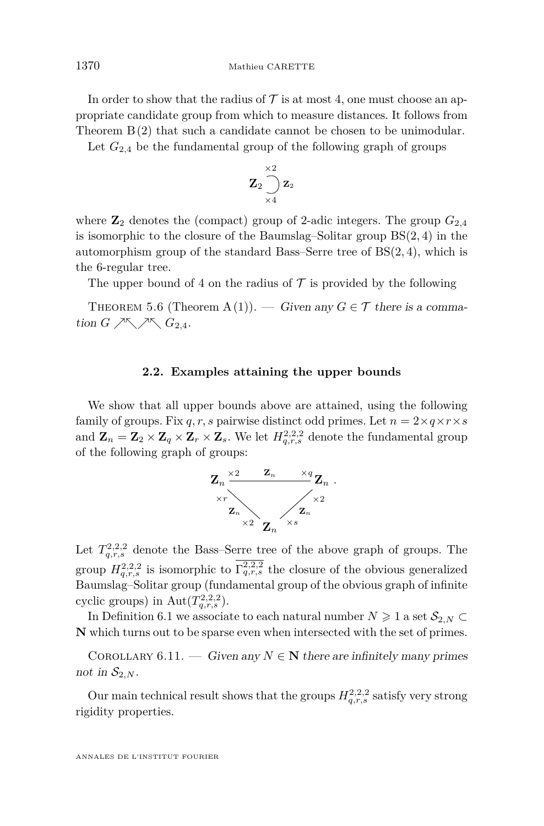In order to show that the radius of  $\mathcal T$  is at most 4, one must choose an appropriate candidate group from which to measure distances. It follows from Theorem [B](#page-3-0)[\(2\)](#page-3-2) that such a candidate cannot be chosen to be unimodular.

Let  $G_{2,4}$  be the fundamental group of the following graph of groups

$$
{\bf Z}_2 \bigcup_{\times 4}^{\times 2} {\bf Z}_2
$$

where  $\mathbb{Z}_2$  denotes the (compact) group of 2-adic integers. The group  $G_{2,4}$ is isomorphic to the closure of the Baumslag–Solitar group BS(2*,* 4) in the automorphism group of the standard Bass–Serre tree of BS(2*,* 4), which is the 6-regular tree.

The upper bound of 4 on the radius of  $\mathcal T$  is provided by the following

THEOREM [5.6](#page-21-0) (Theorem [A](#page-2-1)[\(1\)](#page-2-5)). — Given any  $G \in \mathcal{T}$  there is a commation  $G \nearrow \nearrow \nearrow G_{2,4}$ .

#### **2.2. Examples attaining the upper bounds**

We show that all upper bounds above are attained, using the following family of groups. Fix *q, r, s* pairwise distinct odd primes. Let  $n = 2 \times q \times r \times s$ and  $\mathbf{Z}_n = \mathbf{Z}_2 \times \mathbf{Z}_q \times \mathbf{Z}_r \times \mathbf{Z}_s$ . We let  $H_{q,r,s}^{2,2,2}$  denote the fundamental group of the following graph of groups:



Let  $T_{q,r,s}^{2,2,2}$  denote the Bass–Serre tree of the above graph of groups. The group  $H_{q,r,s}^{2,2,2}$  is isomorphic to  $\Gamma_{q,r,s}^{2,2,2}$  the closure of the obvious generalized Baumslag–Solitar group (fundamental group of the obvious graph of infinite cyclic groups) in  $\text{Aut}(T_{q,r,s}^{2,2,2}).$ 

In Definition [6.1](#page-23-1) we associate to each natural number  $N \geq 1$  a set  $S_{2,N} \subset$ **N** which turns out to be sparse even when intersected with the set of primes.

COROLLARY [6.11.](#page-31-1) — Given any  $N \in \mathbb{N}$  there are infinitely many primes not in  $S_{2,N}$ .

Our main technical result shows that the groups  $H_{q,r,s}^{2,2,2}$  satisfy very strong rigidity properties.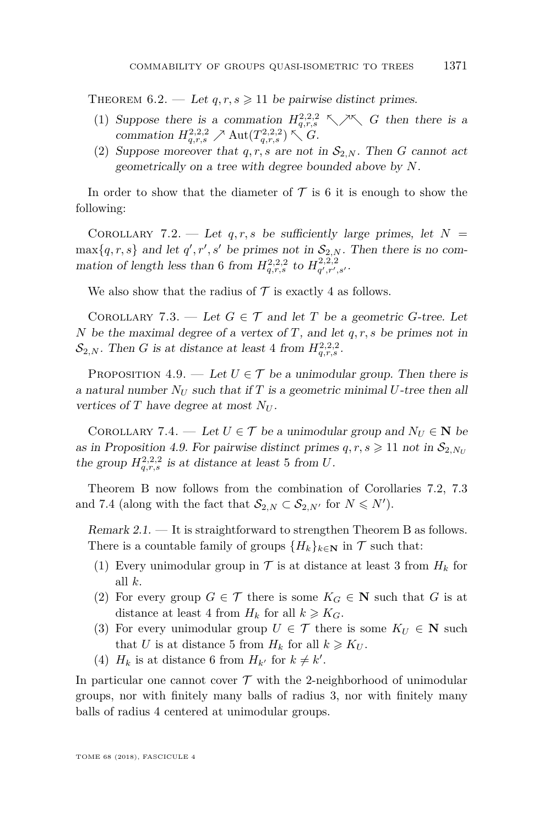THEOREM  $6.2.$  — Let  $q, r, s \geq 11$  be pairwise distinct primes.

- (1) Suppose there is a commation  $H_{q,r,s}^{2,2,2} \nwarrow \nearrow \nwarrow G$  then there is a commation  $H_{q,r,s}^{2,2,2} \nearrow \text{Aut}(T_{q,r,s}^{2,2,2}) \nwarrow G$ .
- (2) Suppose moreover that  $q, r, s$  are not in  $S_{2,N}$ . Then *G* cannot act geometrically on a tree with degree bounded above by *N*.

In order to show that the diameter of  $\mathcal T$  is 6 it is enough to show the following:

COROLLARY [7.2.](#page-32-0) — Let  $q, r, s$  be sufficiently large primes, let  $N =$  $\max\{q, r, s\}$  and let  $q', r', s'$  be primes not in  $\mathcal{S}_{2,N}$ . Then there is no commation of length less than 6 from  $H_{q,r,s}^{2,2,2}$  to  $H_{q',r',s'}^{2,2,2}$ .

We also show that the radius of  $\mathcal T$  is exactly 4 as follows.

COROLLARY [7.3.](#page-32-1) — Let  $G \in \mathcal{T}$  and let *T* be a geometric *G*-tree. Let *N* be the maximal degree of a vertex of *T*, and let *q, r, s* be primes not in  $\mathcal{S}_{2,N}$ . Then *G* is at distance at least 4 from  $H_{q,r,s}^{2,2,2}$ .

PROPOSITION [4.9.](#page-17-0) — Let  $U \in \mathcal{T}$  be a unimodular group. Then there is a natural number  $N_U$  such that if  $T$  is a geometric minimal  $U$ -tree then all vertices of *T* have degree at most  $N_U$ .

COROLLARY [7.4.](#page-33-6) — Let  $U \in \mathcal{T}$  be a unimodular group and  $N_U \in \mathbb{N}$  be as in Proposition [4.9.](#page-17-0) For pairwise distinct primes  $q, r, s \geq 11$  not in  $\mathcal{S}_{2,N_U}$ the group  $H_{q,r,s}^{2,2,2}$  is at distance at least 5 from *U*.

Theorem [B](#page-3-0) now follows from the combination of Corollaries [7.2,](#page-32-0) [7.3](#page-32-1) and [7.4](#page-33-6) (along with the fact that  $S_{2,N} \subset S_{2,N'}$  for  $N \leq N'$ ).

Remark 2.1. — It is straightforward to strengthen Theorem [B](#page-3-0) as follows. There is a countable family of groups  ${H_k}_{k \in \mathbb{N}}$  in  $\mathcal T$  such that:

- (1) Every unimodular group in  $\mathcal T$  is at distance at least 3 from  $H_k$  for all *k*.
- (2) For every group  $G \in \mathcal{T}$  there is some  $K_G \in \mathbb{N}$  such that  $G$  is at distance at least 4 from  $H_k$  for all  $k \geqslant K_G$ .
- (3) For every unimodular group  $U \in \mathcal{T}$  there is some  $K_U \in \mathbb{N}$  such that *U* is at distance 5 from  $H_k$  for all  $k \geq K_U$ .
- (4)  $H_k$  is at distance 6 from  $H_{k'}$  for  $k \neq k'$ .

In particular one cannot cover  $\mathcal T$  with the 2-neighborhood of unimodular groups, nor with finitely many balls of radius 3, nor with finitely many balls of radius 4 centered at unimodular groups.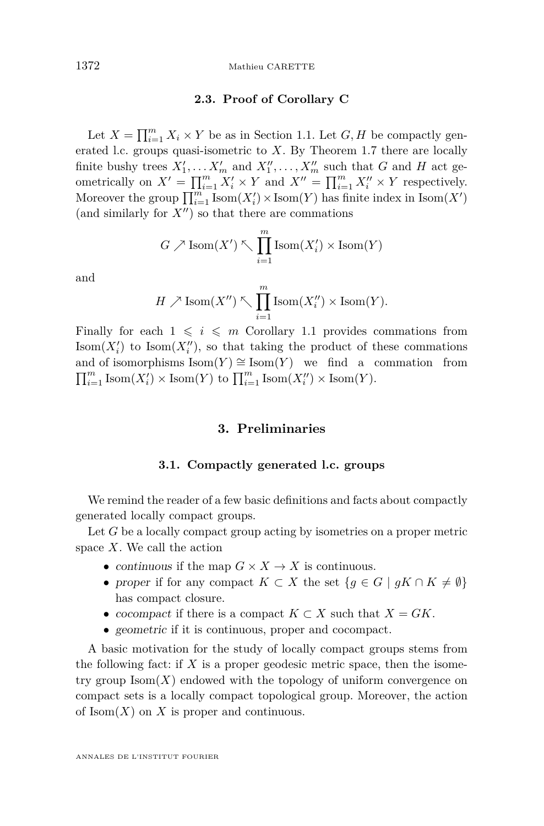#### 1372 Mathieu CARETTE

#### **2.3. Proof of Corollary [C](#page-4-1)**

Let  $X = \prod_{i=1}^{m} X_i \times Y$  be as in Section [1.1.](#page-4-2) Let  $G, H$  be compactly generated l.c. groups quasi-isometric to *X*. By Theorem [1.7](#page-4-0) there are locally finite bushy trees  $X'_1, \ldots, X'_m$  and  $X''_1, \ldots, X''_m$  such that *G* and *H* act geometrically on  $X' = \prod_{i=1}^{m} X'_i \times Y$  and  $X'' = \prod_{i=1}^{m} X''_i \times Y$  respectively. Moreover the group  $\prod_{i=1}^m \text{Isom}(X_i') \times \text{Isom}(Y)$  has finite index in  $\text{Isom}(X')$ (and similarly for  $X''$ ) so that there are commations

$$
G \nearrow \text{Isom}(X') \nwarrow \prod_{i=1}^{m} \text{Isom}(X'_{i}) \times \text{Isom}(Y)
$$

and

$$
H \nearrow \text{Isom}(X'') \nwarrow \prod_{i=1}^{m} \text{Isom}(X''_i) \times \text{Isom}(Y).
$$

Finally for each  $1 \leq i \leq m$  Corollary [1.1](#page-2-0) provides commations from  $\text{Isom}(X_i')$  to  $\text{Isom}(X_i'')$ , so that taking the product of these commations and of isomorphisms  $\text{Isom}(Y) \cong \text{Isom}(Y)$  we find a commation from  $\prod_{i=1}^{m} \text{Isom}(X_i') \times \text{Isom}(Y)$  to  $\prod_{i=1}^{m} \text{Isom}(X_i'') \times \text{Isom}(Y)$ .

#### **3. Preliminaries**

#### **3.1. Compactly generated l.c. groups**

<span id="page-8-0"></span>We remind the reader of a few basic definitions and facts about compactly generated locally compact groups.

Let *G* be a locally compact group acting by isometries on a proper metric space *X*. We call the action

- continuous if the map  $G \times X \to X$  is continuous.
- proper if for any compact  $K \subset X$  the set  $\{g \in G \mid gK \cap K \neq \emptyset\}$ has compact closure.
- cocompact if there is a compact  $K \subset X$  such that  $X = GK$ .
- geometric if it is continuous, proper and cocompact.

A basic motivation for the study of locally compact groups stems from the following fact: if  $X$  is a proper geodesic metric space, then the isometry group  $\text{Isom}(X)$  endowed with the topology of uniform convergence on compact sets is a locally compact topological group. Moreover, the action of  $\text{Isom}(X)$  on X is proper and continuous.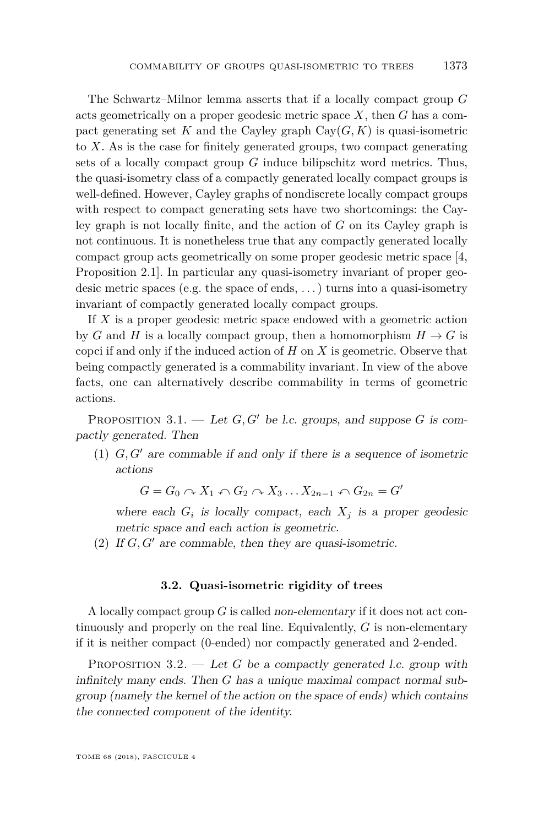The Schwartz–Milnor lemma asserts that if a locally compact group *G* acts geometrically on a proper geodesic metric space *X*, then *G* has a compact generating set  $K$  and the Cayley graph  $Cay(G, K)$  is quasi-isometric to *X*. As is the case for finitely generated groups, two compact generating sets of a locally compact group *G* induce bilipschitz word metrics. Thus, the quasi-isometry class of a compactly generated locally compact groups is well-defined. However, Cayley graphs of nondiscrete locally compact groups with respect to compact generating sets have two shortcomings: the Cayley graph is not locally finite, and the action of *G* on its Cayley graph is not continuous. It is nonetheless true that any compactly generated locally compact group acts geometrically on some proper geodesic metric space [\[4,](#page-33-7) Proposition 2.1]. In particular any quasi-isometry invariant of proper geodesic metric spaces (e.g. the space of ends, . . . ) turns into a quasi-isometry invariant of compactly generated locally compact groups.

If *X* is a proper geodesic metric space endowed with a geometric action by *G* and *H* is a locally compact group, then a homomorphism  $H \to G$  is copci if and only if the induced action of *H* on *X* is geometric. Observe that being compactly generated is a commability invariant. In view of the above facts, one can alternatively describe commability in terms of geometric actions.

<span id="page-9-1"></span>PROPOSITION 3.1. — Let  $G, G'$  be l.c. groups, and suppose G is compactly generated. Then

<span id="page-9-2"></span>(1)  $G, G'$  are commable if and only if there is a sequence of isometric actions

$$
G = G_0 \cap X_1 \cap G_2 \cap X_3 \dots X_{2n-1} \cap G_{2n} = G'
$$

where each  $G_i$  is locally compact, each  $X_j$  is a proper geodesic metric space and each action is geometric.

(2) If  $G, G'$  are commable, then they are quasi-isometric.

#### **3.2. Quasi-isometric rigidity of trees**

<span id="page-9-0"></span>A locally compact group *G* is called non-elementary if it does not act continuously and properly on the real line. Equivalently, *G* is non-elementary if it is neither compact (0-ended) nor compactly generated and 2-ended.

PROPOSITION  $3.2.$  — Let *G* be a compactly generated l.c. group with infinitely many ends. Then *G* has a unique maximal compact normal subgroup (namely the kernel of the action on the space of ends) which contains the connected component of the identity.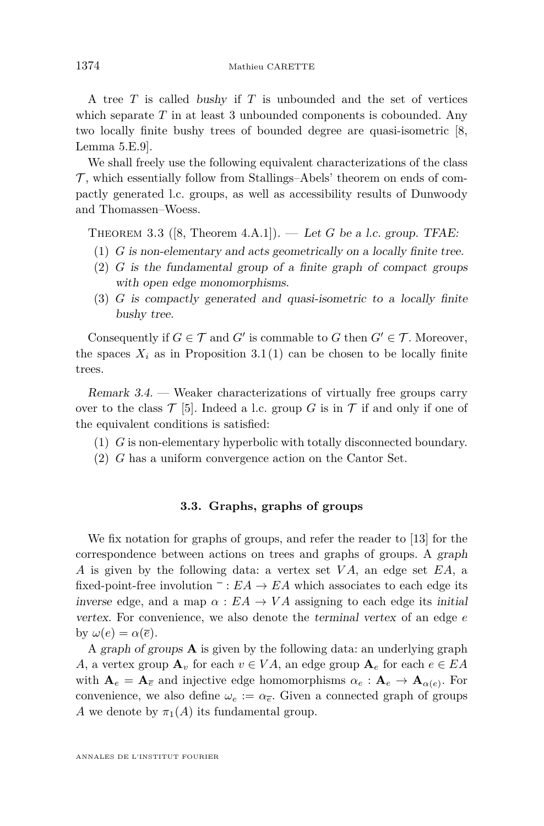A tree *T* is called bushy if *T* is unbounded and the set of vertices which separate *T* in at least 3 unbounded components is cobounded. Any two locally finite bushy trees of bounded degree are quasi-isometric [\[8,](#page-33-1) Lemma 5.E.9].

We shall freely use the following equivalent characterizations of the class  $\mathcal{T}$ , which essentially follow from Stallings–Abels' theorem on ends of compactly generated l.c. groups, as well as accessibility results of Dunwoody and Thomassen–Woess.

THEOREM 3.3 ([\[8,](#page-33-1) Theorem 4.A.1]). — Let G be a l.c. group. TFAE:

- (1) *G* is non-elementary and acts geometrically on a locally finite tree.
- (2) *G* is the fundamental group of a finite graph of compact groups with open edge monomorphisms.
- (3) *G* is compactly generated and quasi-isometric to a locally finite bushy tree.

Consequently if  $G \in \mathcal{T}$  and  $G'$  is commable to  $G$  then  $G' \in \mathcal{T}$ . Moreover, the spaces  $X_i$  as in Proposition [3.1](#page-9-1)[\(1\)](#page-9-2) can be chosen to be locally finite trees.

Remark 3.4. — Weaker characterizations of virtually free groups carry over to the class  $\mathcal{T}$  [\[5\]](#page-33-8). Indeed a l.c. group G is in  $\mathcal{T}$  if and only if one of the equivalent conditions is satisfied:

- (1) *G* is non-elementary hyperbolic with totally disconnected boundary.
- (2) *G* has a uniform convergence action on the Cantor Set.

#### **3.3. Graphs, graphs of groups**

<span id="page-10-0"></span>We fix notation for graphs of groups, and refer the reader to [\[13\]](#page-33-9) for the correspondence between actions on trees and graphs of groups. A graph *A* is given by the following data: a vertex set *V A*, an edge set *EA*, a fixed-point-free involution  $\overline{\phantom{a}}$ :  $EA \rightarrow EA$  which associates to each edge its inverse edge, and a map  $\alpha$  :  $EA \rightarrow VA$  assigning to each edge its initial vertex. For convenience, we also denote the terminal vertex of an edge *e* by  $\omega(e) = \alpha(\overline{e}).$ 

A graph of groups **A** is given by the following data: an underlying graph *A*, a vertex group  $\mathbf{A}_v$  for each  $v \in VA$ , an edge group  $\mathbf{A}_e$  for each  $e \in EA$ with  $A_e = A_{\overline{e}}$  and injective edge homomorphisms  $\alpha_e : A_e \to A_{\alpha(e)}$ . For convenience, we also define  $\omega_e := \alpha_{\bar{e}}$ . Given a connected graph of groups *A* we denote by  $\pi_1(A)$  its fundamental group.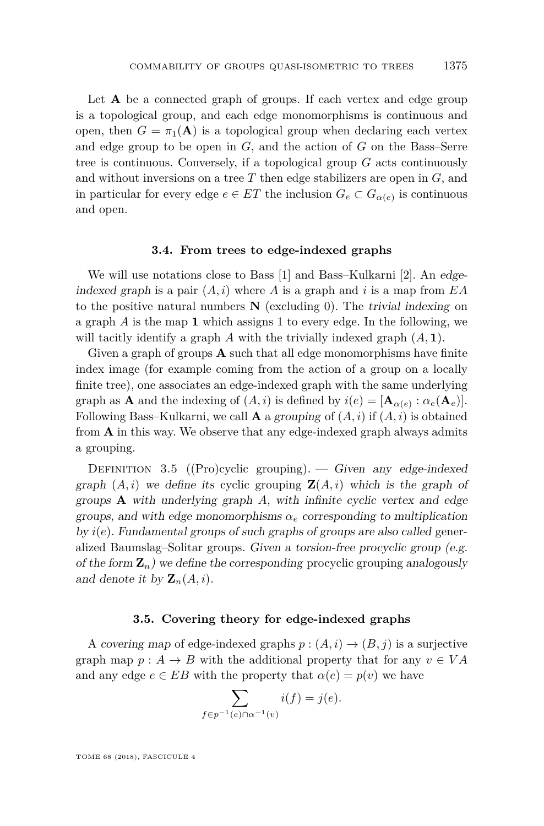Let **A** be a connected graph of groups. If each vertex and edge group is a topological group, and each edge monomorphisms is continuous and open, then  $G = \pi_1(A)$  is a topological group when declaring each vertex and edge group to be open in *G*, and the action of *G* on the Bass–Serre tree is continuous. Conversely, if a topological group *G* acts continuously and without inversions on a tree *T* then edge stabilizers are open in *G*, and in particular for every edge  $e \in ET$  the inclusion  $G_e \subset G_{\alpha(e)}$  is continuous and open.

#### **3.4. From trees to edge-indexed graphs**

We will use notations close to Bass [\[1\]](#page-33-10) and Bass–Kulkarni [\[2\]](#page-33-3). An edgeindexed graph is a pair  $(A, i)$  where A is a graph and *i* is a map from  $EA$ to the positive natural numbers **N** (excluding 0). The trivial indexing on a graph *A* is the map **1** which assigns 1 to every edge. In the following, we will tacitly identify a graph *A* with the trivially indexed graph (*A,* **1**).

Given a graph of groups **A** such that all edge monomorphisms have finite index image (for example coming from the action of a group on a locally finite tree), one associates an edge-indexed graph with the same underlying graph as **A** and the indexing of  $(A, i)$  is defined by  $i(e) = [\mathbf{A}_{\alpha(e)} : \alpha_e(\mathbf{A}_e)].$ Following Bass–Kulkarni, we call **A** a grouping of (*A, i*) if (*A, i*) is obtained from **A** in this way. We observe that any edge-indexed graph always admits a grouping.

<span id="page-11-1"></span>DEFINITION 3.5 ((Pro)cyclic grouping). — Given any edge-indexed graph  $(A, i)$  we define its cyclic grouping  $\mathbf{Z}(A, i)$  which is the graph of groups **A** with underlying graph *A*, with infinite cyclic vertex and edge groups, and with edge monomorphisms  $\alpha_e$  corresponding to multiplication by *i*(*e*). Fundamental groups of such graphs of groups are also called generalized Baumslag–Solitar groups. Given a torsion-free procyclic group (e.g. of the form  $\mathbf{Z}_n$ ) we define the corresponding procyclic grouping analogously and denote it by  $\mathbf{Z}_n(A, i)$ .

#### **3.5. Covering theory for edge-indexed graphs**

<span id="page-11-0"></span>A covering map of edge-indexed graphs  $p:(A, i) \rightarrow (B, j)$  is a surjective graph map  $p : A \to B$  with the additional property that for any  $v \in VA$ and any edge  $e \in EB$  with the property that  $\alpha(e) = p(v)$  we have

$$
\sum_{f \in p^{-1}(e) \cap \alpha^{-1}(v)} i(f) = j(e).
$$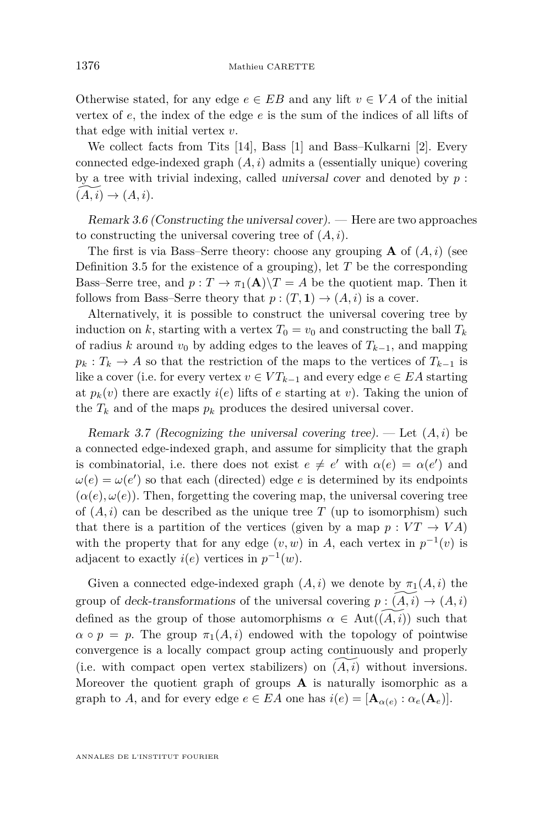Otherwise stated, for any edge  $e \in EB$  and any lift  $v \in VA$  of the initial vertex of *e*, the index of the edge *e* is the sum of the indices of all lifts of that edge with initial vertex *v*.

We collect facts from Tits [\[14\]](#page-34-0), Bass [\[1\]](#page-33-10) and Bass–Kulkarni [\[2\]](#page-33-3). Every connected edge-indexed graph (*A, i*) admits a (essentially unique) covering by a tree with trivial indexing, called universal cover and denoted by *p* :  $(A, i) \rightarrow (A, i).$ 

Remark 3.6 (Constructing the universal cover). — Here are two approaches to constructing the universal covering tree of (*A, i*).

The first is via Bass–Serre theory: choose any grouping  $\bf{A}$  of  $(A, i)$  (see Definition [3.5](#page-11-1) for the existence of a grouping), let *T* be the corresponding Bass–Serre tree, and  $p: T \to \pi_1(A) \backslash T = A$  be the quotient map. Then it follows from Bass–Serre theory that  $p:(T,1) \rightarrow (A,i)$  is a cover.

Alternatively, it is possible to construct the universal covering tree by induction on *k*, starting with a vertex  $T_0 = v_0$  and constructing the ball  $T_k$ of radius *k* around  $v_0$  by adding edges to the leaves of  $T_{k-1}$ , and mapping  $p_k: T_k \to A$  so that the restriction of the maps to the vertices of  $T_{k-1}$  is like a cover (i.e. for every vertex  $v \in VT_{k-1}$  and every edge  $e \in EA$  starting at  $p_k(v)$  there are exactly  $i(e)$  lifts of *e* starting at *v*). Taking the union of the  $T_k$  and of the maps  $p_k$  produces the desired universal cover.

<span id="page-12-0"></span>Remark 3.7 (Recognizing the universal covering tree).  $-\text{Let } (A, i)$  be a connected edge-indexed graph, and assume for simplicity that the graph is combinatorial, i.e. there does not exist  $e \neq e'$  with  $\alpha(e) = \alpha(e')$  and  $\omega(e) = \omega(e')$  so that each (directed) edge *e* is determined by its endpoints  $(\alpha(e), \omega(e))$ . Then, forgetting the covering map, the universal covering tree of  $(A, i)$  can be described as the unique tree  $T$  (up to isomorphism) such that there is a partition of the vertices (given by a map  $p: VT \rightarrow VA$ ) with the property that for any edge  $(v, w)$  in *A*, each vertex in  $p^{-1}(v)$  is adjacent to exactly  $i(e)$  vertices in  $p^{-1}(w)$ .

Given a connected edge-indexed graph  $(A, i)$  we denote by  $\pi_1(A, i)$  the group of deck-transformations of the universal covering  $p : (A, i) \rightarrow (A, i)$ defined as the group of those automorphisms  $\alpha \in Aut((A, i))$  such that  $\alpha \circ p = p$ . The group  $\pi_1(A, i)$  endowed with the topology of pointwise convergence is a locally compact group acting continuously and properly (i.e. with compact open vertex stabilizers) on  $(A, i)$  without inversions. Moreover the quotient graph of groups **A** is naturally isomorphic as a graph to *A*, and for every edge  $e \in EA$  one has  $i(e) = [\mathbf{A}_{\alpha(e)} : \alpha_e(\mathbf{A}_e)].$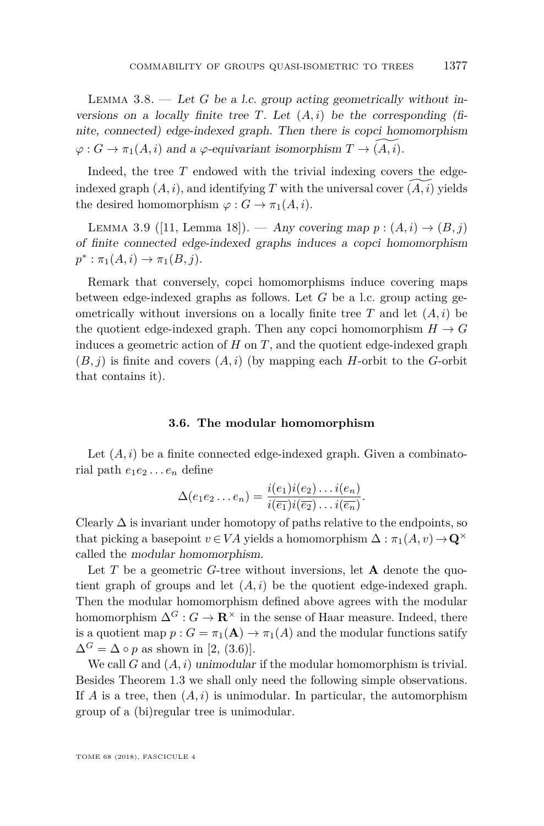<span id="page-13-1"></span>LEMMA  $3.8.$  — Let *G* be a l.c. group acting geometrically without inversions on a locally finite tree  $T$ . Let  $(A, i)$  be the corresponding  $(f_i$ nite, connected) edge-indexed graph. Then there is copci homomorphism  $\varphi: G \to \pi_1(A, i)$  and a  $\varphi$ -equivariant isomorphism  $T \to (A, i)$ .

Indeed, the tree *T* endowed with the trivial indexing covers the edgeindexed graph  $(A, i)$ , and identifying  $T$  with the universal cover  $(A, i)$  yields the desired homomorphism  $\varphi: G \to \pi_1(A, i)$ .

<span id="page-13-0"></span>LEMMA 3.9 ([\[11,](#page-33-11) Lemma 18]). — Any covering map  $p : (A, i) \to (B, i)$ of finite connected edge-indexed graphs induces a copci homomorphism  $p^* : \pi_1(A, i) \to \pi_1(B, j).$ 

Remark that conversely, copci homomorphisms induce covering maps between edge-indexed graphs as follows. Let *G* be a l.c. group acting geometrically without inversions on a locally finite tree  $T$  and let  $(A, i)$  be the quotient edge-indexed graph. Then any copci homomorphism  $H \to G$ induces a geometric action of  $H$  on  $T$ , and the quotient edge-indexed graph  $(B, j)$  is finite and covers  $(A, i)$  (by mapping each *H*-orbit to the *G*-orbit that contains it).

#### **3.6. The modular homomorphism**

Let  $(A, i)$  be a finite connected edge-indexed graph. Given a combinatorial path  $e_1e_2 \ldots e_n$  define

$$
\Delta(e_1e_2 \ldots e_n) = \frac{i(e_1)i(e_2) \ldots i(e_n)}{i(\overline{e_1})i(\overline{e_2}) \ldots i(\overline{e_n})}.
$$

Clearly  $\Delta$  is invariant under homotopy of paths relative to the endpoints, so that picking a basepoint  $v \in VA$  yields a homomorphism  $\Delta : \pi_1(A, v) \to \mathbf{Q}^{\times}$ called the modular homomorphism.

Let  $T$  be a geometric  $G$ -tree without inversions, let  $A$  denote the quotient graph of groups and let  $(A, i)$  be the quotient edge-indexed graph. Then the modular homomorphism defined above agrees with the modular homomorphism  $\Delta^G$  :  $G \to \mathbb{R}^\times$  in the sense of Haar measure. Indeed, there is a quotient map  $p: G = \pi_1(\mathbf{A}) \to \pi_1(A)$  and the modular functions satify  $\Delta^G = \Delta \circ p$  as shown in [\[2,](#page-33-3) (3.6)].

We call *G* and (*A, i*) unimodular if the modular homomorphism is trivial. Besides Theorem [1.3](#page-3-1) we shall only need the following simple observations. If  $A$  is a tree, then  $(A, i)$  is unimodular. In particular, the automorphism group of a (bi)regular tree is unimodular.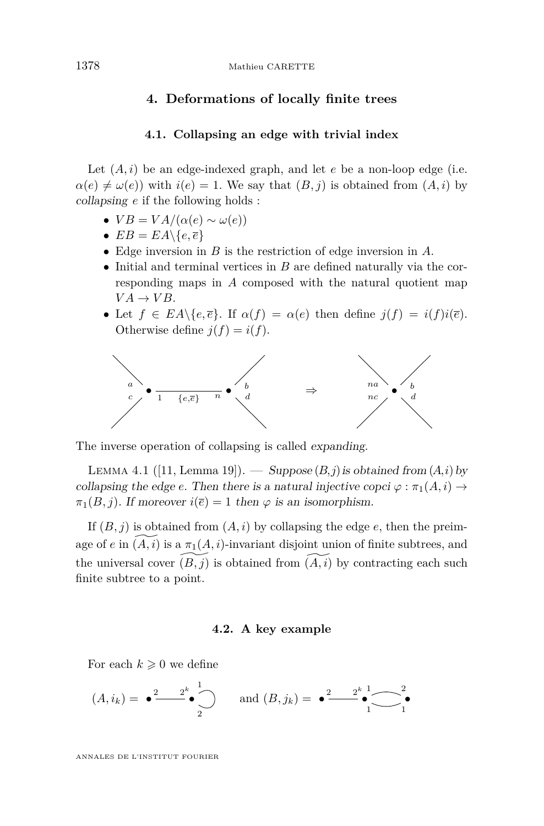#### <span id="page-14-0"></span>**4. Deformations of locally finite trees**

#### **4.1. Collapsing an edge with trivial index**

Let  $(A, i)$  be an edge-indexed graph, and let  $e$  be a non-loop edge (i.e.  $\alpha(e) \neq \omega(e)$ ) with  $i(e) = 1$ . We say that  $(B, j)$  is obtained from  $(A, i)$  by collapsing *e* if the following holds :

- $VB = VA/(\alpha(e) \sim \omega(e))$
- $EB = EA \setminus \{e, \overline{e}\}\$
- Edge inversion in *B* is the restriction of edge inversion in *A*.
- Initial and terminal vertices in *B* are defined naturally via the corresponding maps in *A* composed with the natural quotient map  $VA \rightarrow VB$ .
- Let  $f \in EA \setminus \{e, \overline{e}\}.$  If  $\alpha(f) = \alpha(e)$  then define  $j(f) = i(f)i(\overline{e}).$ Otherwise define  $j(f) = i(f)$ .



The inverse operation of collapsing is called expanding.

<span id="page-14-1"></span>LEMMA 4.1 ([\[11,](#page-33-11) Lemma 19]). — Suppose  $(B, j)$  is obtained from  $(A, i)$  by collapsing the edge *e*. Then there is a natural injective copci  $\varphi : \pi_1(A, i) \rightarrow$  $\pi_1(B, j)$ . If moreover  $i(\bar{e}) = 1$  then  $\varphi$  is an isomorphism.

If  $(B, j)$  is obtained from  $(A, i)$  by collapsing the edge  $e$ , then the preimage of  $e$  in  $(A, i)$  is a  $\pi_1(A, i)$ -invariant disjoint union of finite subtrees, and the universal cover  $(B, j)$  is obtained from  $(\widetilde{A, i})$  by contracting each such finite subtree to a point.

#### **4.2. A key example**

<span id="page-14-2"></span>For each  $k \geqslant 0$  we define

$$
(A, i_k) = \bullet^2 \xrightarrow{\phantom{a}2^k} \bullet \searrow^1 \qquad \text{and } (B, j_k) = \bullet^2 \xrightarrow{\phantom{a}2^k} \bullet \searrow^2 \bullet \searrow^2
$$

ANNALES DE L'INSTITUT FOURIER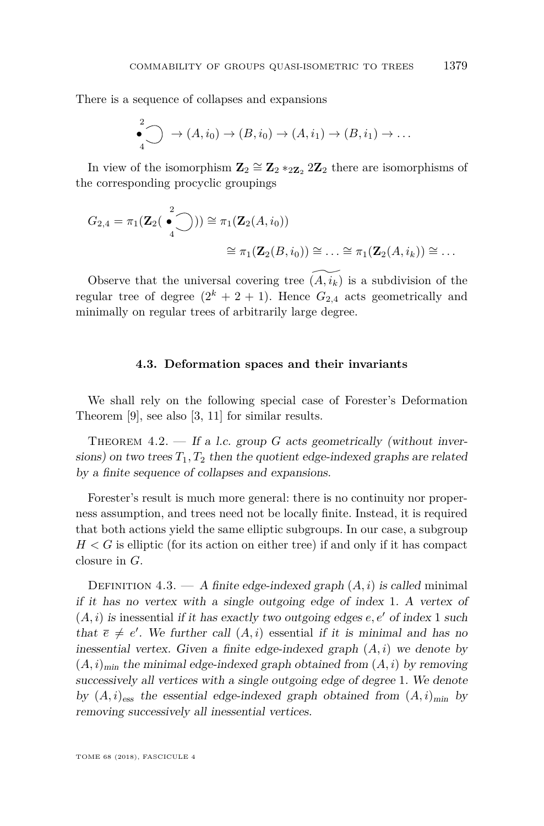There is a sequence of collapses and expansions

<sup>2</sup>  
<sub>4</sub> 
$$
\bigcirc
$$
  $\rightarrow$   $(A, i_0) \rightarrow (B, i_0) \rightarrow (A, i_1) \rightarrow (B, i_1) \rightarrow \dots$ 

In view of the isomorphism  $\mathbf{Z}_2 \cong \mathbf{Z}_2 *_{2\mathbf{Z}_2} 2\mathbf{Z}_2$  there are isomorphisms of the corresponding procyclic groupings

$$
G_{2,4} = \pi_1(\mathbf{Z}_2(\begin{array}{c} 2 \\ 0 \end{array})) \cong \pi_1(\mathbf{Z}_2(A, i_0))
$$
  

$$
\cong \pi_1(\mathbf{Z}_2(B, i_0)) \cong \dots \cong \pi_1(\mathbf{Z}_2(A, i_k)) \cong \dots
$$

Observe that the universal covering tree  $(A, i_k)$  is a subdivision of the regular tree of degree  $(2^k + 2 + 1)$ . Hence  $G_{2,4}$  acts geometrically and minimally on regular trees of arbitrarily large degree.

#### **4.3. Deformation spaces and their invariants**

We shall rely on the following special case of Forester's Deformation Theorem [\[9\]](#page-33-12), see also [\[3,](#page-33-13) [11\]](#page-33-11) for similar results.

<span id="page-15-0"></span>THEOREM  $4.2.$  — If a l.c. group *G* acts geometrically (without inversions) on two trees  $T_1, T_2$  then the quotient edge-indexed graphs are related by a finite sequence of collapses and expansions.

Forester's result is much more general: there is no continuity nor properness assumption, and trees need not be locally finite. Instead, it is required that both actions yield the same elliptic subgroups. In our case, a subgroup  $H < G$  is elliptic (for its action on either tree) if and only if it has compact closure in *G*.

DEFINITION 4.3. — A finite edge-indexed graph  $(A, i)$  is called minimal if it has no vertex with a single outgoing edge of index 1. A vertex of  $(A, i)$  is inessential if it has exactly two outgoing edges  $e, e'$  of index 1 such that  $\overline{e} \neq e'$ . We further call  $(A, i)$  essential if it is minimal and has no inessential vertex. Given a finite edge-indexed graph (*A, i*) we denote by  $(A, i)_{\text{min}}$  the minimal edge-indexed graph obtained from  $(A, i)$  by removing successively all vertices with a single outgoing edge of degree 1. We denote by  $(A, i)_{\text{ess}}$  the essential edge-indexed graph obtained from  $(A, i)_{\text{min}}$  by removing successively all inessential vertices.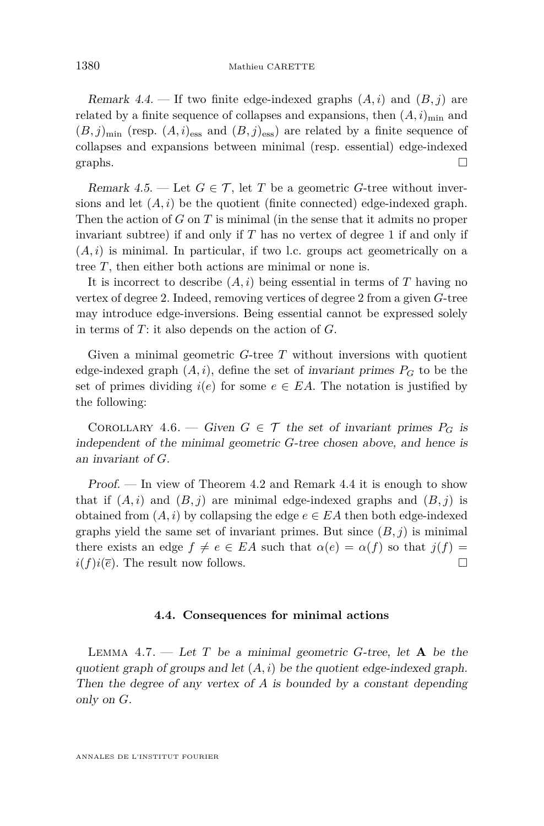<span id="page-16-0"></span>Remark 4.4. — If two finite edge-indexed graphs  $(A, i)$  and  $(B, i)$  are related by a finite sequence of collapses and expansions, then  $(A, i)_{\min}$  and  $(B, j)_{\text{min}}$  (resp.  $(A, i)_{\text{ess}}$  and  $(B, j)_{\text{ess}}$ ) are related by a finite sequence of collapses and expansions between minimal (resp. essential) edge-indexed graphs.  $\Box$ 

Remark 4.5. — Let  $G \in \mathcal{T}$ , let *T* be a geometric *G*-tree without inversions and let  $(A, i)$  be the quotient (finite connected) edge-indexed graph. Then the action of *G* on *T* is minimal (in the sense that it admits no proper invariant subtree) if and only if *T* has no vertex of degree 1 if and only if  $(A, i)$  is minimal. In particular, if two l.c. groups act geometrically on a tree *T*, then either both actions are minimal or none is.

It is incorrect to describe  $(A, i)$  being essential in terms of  $T$  having no vertex of degree 2. Indeed, removing vertices of degree 2 from a given *G*-tree may introduce edge-inversions. Being essential cannot be expressed solely in terms of *T*: it also depends on the action of *G*.

Given a minimal geometric *G*-tree *T* without inversions with quotient edge-indexed graph  $(A, i)$ , define the set of invariant primes  $P_G$  to be the set of primes dividing  $i(e)$  for some  $e \in EA$ . The notation is justified by the following:

<span id="page-16-1"></span>COROLLARY 4.6. — Given  $G \in \mathcal{T}$  the set of invariant primes  $P_G$  is independent of the minimal geometric *G*-tree chosen above, and hence is an invariant of *G*.

Proof. — In view of Theorem [4.2](#page-15-0) and Remark [4.4](#page-16-0) it is enough to show that if  $(A, i)$  and  $(B, j)$  are minimal edge-indexed graphs and  $(B, j)$  is obtained from  $(A, i)$  by collapsing the edge  $e \in EA$  then both edge-indexed graphs yield the same set of invariant primes. But since  $(B, j)$  is minimal there exists an edge  $f \neq e \in EA$  such that  $\alpha(e) = \alpha(f)$  so that  $j(f) =$  $i(f)i(\overline{e})$ . The result now follows.

#### **4.4. Consequences for minimal actions**

LEMMA  $4.7.$  — Let *T* be a minimal geometric *G*-tree, let **A** be the quotient graph of groups and let (*A, i*) be the quotient edge-indexed graph. Then the degree of any vertex of *A* is bounded by a constant depending only on *G*.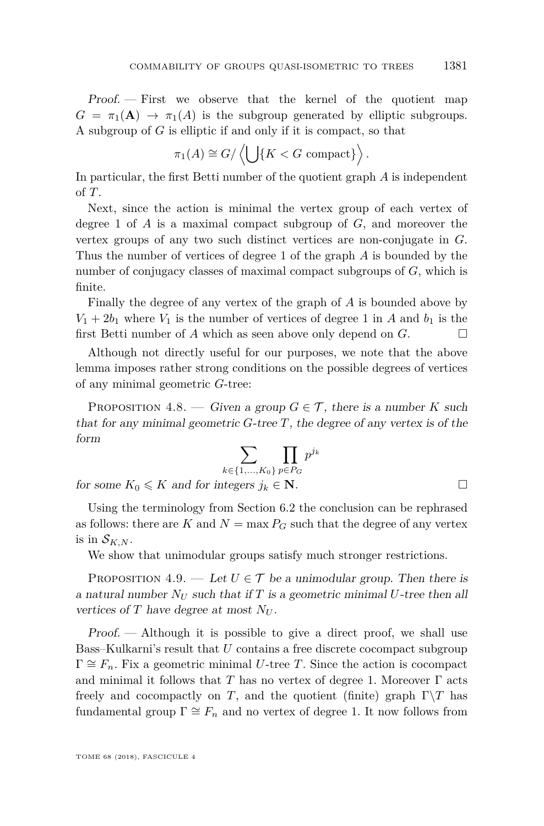Proof. — First we observe that the kernel of the quotient map  $G = \pi_1(\mathbf{A}) \to \pi_1(A)$  is the subgroup generated by elliptic subgroups. A subgroup of *G* is elliptic if and only if it is compact, so that

$$
\pi_1(A) \cong G / \left\langle \bigcup \{ K < G \text{ compact} \} \right\rangle.
$$

In particular, the first Betti number of the quotient graph *A* is independent of *T*.

Next, since the action is minimal the vertex group of each vertex of degree 1 of *A* is a maximal compact subgroup of *G*, and moreover the vertex groups of any two such distinct vertices are non-conjugate in *G*. Thus the number of vertices of degree 1 of the graph *A* is bounded by the number of conjugacy classes of maximal compact subgroups of *G*, which is finite.

Finally the degree of any vertex of the graph of *A* is bounded above by  $V_1 + 2b_1$  where  $V_1$  is the number of vertices of degree 1 in *A* and  $b_1$  is the first Betti number of *A* which as seen above only depend on *G*.

Although not directly useful for our purposes, we note that the above lemma imposes rather strong conditions on the possible degrees of vertices of any minimal geometric *G*-tree:

PROPOSITION 4.8. — Given a group  $G \in \mathcal{T}$ , there is a number K such that for any minimal geometric  $G$ -tree  $T$ , the degree of any vertex is of the form

$$
\sum_{k \in \{1, ..., K_0\}} \prod_{p \in P_G} p^{j_k}
$$

for some  $K_0 \leqslant K$  and for integers  $j_k \in \mathbb{N}$ .

Using the terminology from Section [6.2](#page-30-1) the conclusion can be rephrased as follows: there are K and  $N = \max P_G$  such that the degree of any vertex is in  $S_{K,N}$ .

We show that unimodular groups satisfy much stronger restrictions.

<span id="page-17-0"></span>PROPOSITION 4.9. — Let  $U \in \mathcal{T}$  be a unimodular group. Then there is a natural number  $N_U$  such that if  $T$  is a geometric minimal  $U$ -tree then all vertices of  $T$  have degree at most  $N_U$ .

Proof. — Although it is possible to give a direct proof, we shall use Bass–Kulkarni's result that *U* contains a free discrete cocompact subgroup  $\Gamma \cong F_n$ . Fix a geometric minimal *U*-tree *T*. Since the action is cocompact and minimal it follows that *T* has no vertex of degree 1. Moreover  $\Gamma$  acts freely and cocompactly on *T*, and the quotient (finite) graph  $\Gamma \backslash T$  has fundamental group  $\Gamma \cong F_n$  and no vertex of degree 1. It now follows from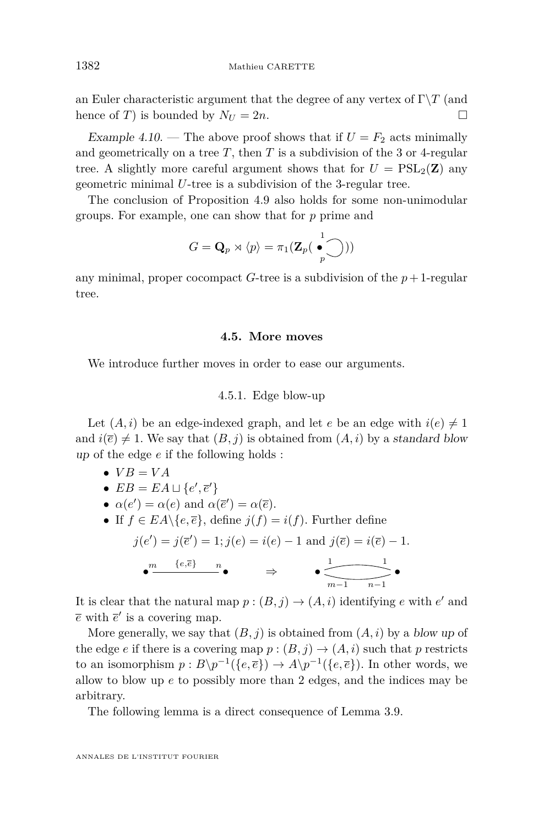an Euler characteristic argument that the degree of any vertex of  $\Gamma \backslash T$  (and hence of *T*) is bounded by  $N_U = 2n$ .

Example 4.10. — The above proof shows that if  $U = F_2$  acts minimally and geometrically on a tree  $T$ , then  $T$  is a subdivision of the 3 or 4-regular tree. A slightly more careful argument shows that for  $U = \text{PSL}_2(\mathbf{Z})$  any geometric minimal *U*-tree is a subdivision of the 3-regular tree.

The conclusion of Proposition [4.9](#page-17-0) also holds for some non-unimodular groups. For example, one can show that for *p* prime and

$$
G = \mathbf{Q}_p \rtimes \langle p \rangle = \pi_1(\mathbf{Z}_p(\begin{array}{c} 1 \\ \bullet \\ p \end{array}))
$$

any minimal, proper cocompact *G*-tree is a subdivision of the  $p + 1$ -regular tree.

#### **4.5. More moves**

We introduce further moves in order to ease our arguments.

#### 4.5.1. Edge blow-up

Let  $(A, i)$  be an edge-indexed graph, and let *e* be an edge with  $i(e) \neq 1$ and  $i(\overline{e}) \neq 1$ . We say that  $(B, j)$  is obtained from  $(A, i)$  by a standard blow up of the edge *e* if the following holds :

 $\bullet$   $VB = VA$ 

• 
$$
EB = EA \sqcup \{e', \overline{e}'\}
$$

• 
$$
\alpha(e') = \alpha(e)
$$
 and  $\alpha(\overline{e}') = \alpha(\overline{e})$ .

• If  $f \in EA \setminus \{e, \overline{e}\}\$ , define  $j(f) = i(f)$ . Further define  $j(e') = j(\bar{e}') = 1; j(e) = i(e) - 1$  and  $j(\bar{e}) = i(\bar{e}) - 1$ .  $\frac{1}{1}$   $\frac{1}{1}$ 

$$
\bullet^{\underbrace{m \quad \{e,\overline{e}\}}_{m \quad \bullet}} \quad n \quad \Rightarrow \quad \bullet \quad \overbrace{\underbrace{\qquad \qquad}_{m-1 \quad n-1}}^{\underbrace{1 \quad \bullet}} \bullet
$$

It is clear that the natural map  $p:(B, j) \to (A, i)$  identifying *e* with *e'* and  $\bar{e}$  with  $\bar{e}'$  is a covering map.

More generally, we say that  $(B, j)$  is obtained from  $(A, i)$  by a blow up of the edge *e* if there is a covering map  $p:(B, j) \rightarrow (A, i)$  such that *p* restricts to an isomorphism  $p: B\backslash p^{-1}(\{e,\overline{e}\}) \to A\backslash p^{-1}(\{e,\overline{e}\})$ . In other words, we allow to blow up *e* to possibly more than 2 edges, and the indices may be arbitrary.

The following lemma is a direct consequence of Lemma [3.9.](#page-13-0)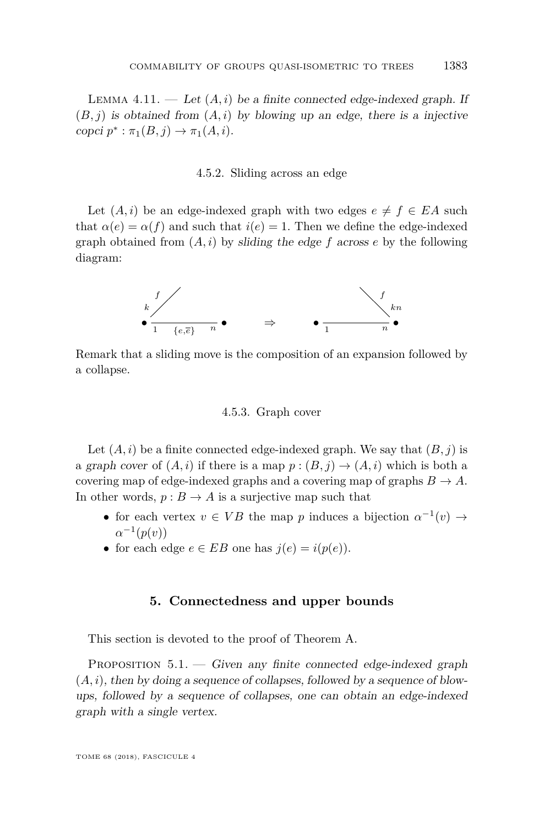LEMMA  $4.11.$  — Let  $(A, i)$  be a finite connected edge-indexed graph. If  $(B, j)$  is obtained from  $(A, i)$  by blowing up an edge, there is a injective  $c$ *copci*  $p^* : \pi_1(B, j) \to \pi_1(A, i)$ .

#### 4.5.2. Sliding across an edge

Let  $(A, i)$  be an edge-indexed graph with two edges  $e \neq f \in EA$  such that  $\alpha(e) = \alpha(f)$  and such that  $i(e) = 1$ . Then we define the edge-indexed graph obtained from  $(A, i)$  by sliding the edge f across  $e$  by the following diagram:



Remark that a sliding move is the composition of an expansion followed by a collapse.

#### 4.5.3. Graph cover

Let  $(A, i)$  be a finite connected edge-indexed graph. We say that  $(B, i)$  is a graph cover of  $(A, i)$  if there is a map  $p : (B, j) \to (A, i)$  which is both a covering map of edge-indexed graphs and a covering map of graphs  $B \to A$ . In other words,  $p : B \to A$  is a surjective map such that

- for each vertex  $v \in VB$  the map p induces a bijection  $\alpha^{-1}(v) \rightarrow$  $\alpha^{-1}(p(v))$
- for each edge  $e \in EB$  one has  $j(e) = i(p(e))$ .

#### **5. Connectedness and upper bounds**

<span id="page-19-0"></span>This section is devoted to the proof of Theorem [A.](#page-2-1)

<span id="page-19-1"></span>PROPOSITION 5.1. — Given any finite connected edge-indexed graph (*A, i*), then by doing a sequence of collapses, followed by a sequence of blowups, followed by a sequence of collapses, one can obtain an edge-indexed graph with a single vertex.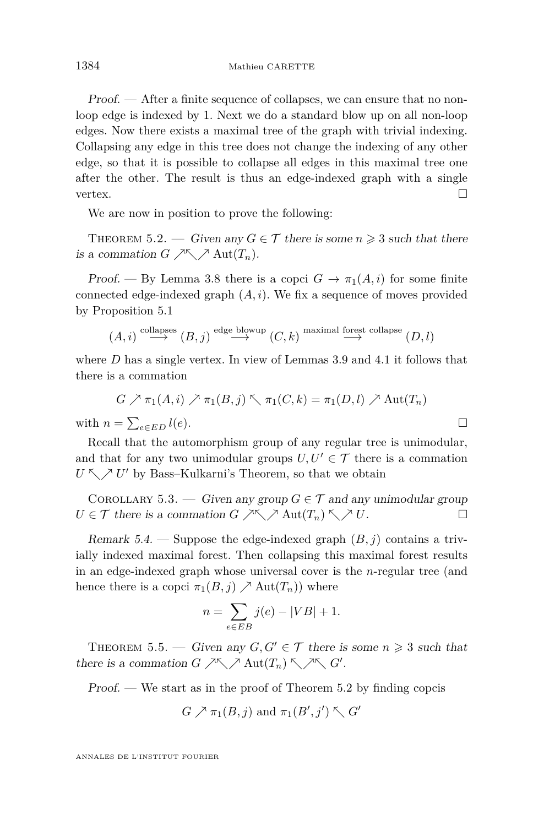Proof. — After a finite sequence of collapses, we can ensure that no nonloop edge is indexed by 1. Next we do a standard blow up on all non-loop edges. Now there exists a maximal tree of the graph with trivial indexing. Collapsing any edge in this tree does not change the indexing of any other edge, so that it is possible to collapse all edges in this maximal tree one after the other. The result is thus an edge-indexed graph with a single vertex.  $\Box$ 

We are now in position to prove the following:

<span id="page-20-0"></span>THEOREM 5.2. — Given any  $G \in \mathcal{T}$  there is some  $n \geq 3$  such that there is a commation  $G \nearrow \nwarrow \nearrow \text{Aut}(T_n)$ .

Proof. — By Lemma [3.8](#page-13-1) there is a copci  $G \to \pi_1(A, i)$  for some finite connected edge-indexed graph  $(A, i)$ . We fix a sequence of moves provided by Proposition [5.1](#page-19-1)

$$
(A,i) \overset{\text{collapses}}{\longrightarrow} (B,j) \overset{\text{edge blowup}}{\longrightarrow} (C,k) \overset{\text{maximal forest collapse}}{\longrightarrow} (D,l)
$$

where *D* has a single vertex. In view of Lemmas [3.9](#page-13-0) and [4.1](#page-14-1) it follows that there is a commation

$$
G \nearrow \pi_1(A, i) \nearrow \pi_1(B, j) \nwarrow \pi_1(C, k) = \pi_1(D, l) \nearrow \text{Aut}(T_n)
$$

with  $n = \sum_{e \in ED} l(e)$ .

Recall that the automorphism group of any regular tree is unimodular, and that for any two unimodular groups  $U, U' \in \mathcal{T}$  there is a commation  $U \setminus V$  by Bass–Kulkarni's Theorem, so that we obtain

<span id="page-20-2"></span>COROLLARY 5.3. — Given any group  $G \in \mathcal{T}$  and any unimodular group  $U \in \mathcal{T}$  there is a commation  $G \nearrow \nearrow \nearrow$  Aut $(T_n) \searrow \nearrow U$ .

<span id="page-20-3"></span>Remark 5.4. — Suppose the edge-indexed graph  $(B, j)$  contains a trivially indexed maximal forest. Then collapsing this maximal forest results in an edge-indexed graph whose universal cover is the *n*-regular tree (and hence there is a copci  $\pi_1(B, j) \nearrow \text{Aut}(T_n)$  where

$$
n = \sum_{e \in EB} j(e) - |VB| + 1.
$$

<span id="page-20-1"></span>THEOREM 5.5. — Given any  $G, G' \in \mathcal{T}$  there is some  $n \geq 3$  such that there is a commation  $G \nearrow \nwarrow \nearrow \text{Aut}(T_n) \nwarrow \nearrow \nwarrow G'$ .

Proof. — We start as in the proof of Theorem [5.2](#page-20-0) by finding copcis

$$
G \nearrow \pi_1(B, j)
$$
 and  $\pi_1(B', j') \nwarrow G'$ 

ANNALES DE L'INSTITUT FOURIER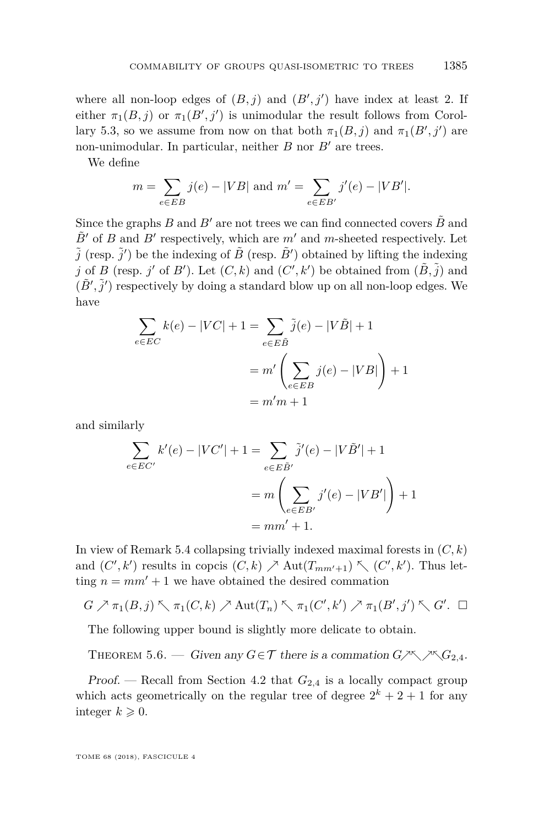where all non-loop edges of  $(B, j)$  and  $(B', j')$  have index at least 2. If either  $\pi_1(B, j)$  or  $\pi_1(B', j')$  is unimodular the result follows from Corol-lary [5.3,](#page-20-2) so we assume from now on that both  $\pi_1(B, j)$  and  $\pi_1(B', j')$  are non-unimodular. In particular, neither  $B$  nor  $B'$  are trees.

We define

$$
m = \sum_{e \in EB} j(e) - |VB|
$$
 and  $m' = \sum_{e \in EB'} j'(e) - |VB'|$ .

Since the graphs *B* and *B*<sup> $\prime$ </sup> are not trees we can find connected covers  $\tilde{B}$  and  $\tilde{B}'$  of *B* and *B*<sup> $\prime$ </sup> respectively, which are  $m'$  and *m*-sheeted respectively. Let  $\tilde{j}$  (resp.  $\tilde{j}'$ ) be the indexing of  $\tilde{B}$  (resp.  $\tilde{B}'$ ) obtained by lifting the indexing *j* of *B* (resp. *j*' of *B*'). Let  $(C, k)$  and  $(C', k')$  be obtained from  $(\tilde{B}, \tilde{j})$  and  $(\tilde{B}', \tilde{j}')$  respectively by doing a standard blow up on all non-loop edges. We have

$$
\sum_{e \in EC} k(e) - |VC| + 1 = \sum_{e \in E\tilde{B}} \tilde{j}(e) - |V\tilde{B}| + 1
$$

$$
= m' \left( \sum_{e \in EB} j(e) - |VB| \right) + 1
$$

$$
= m'm + 1
$$

and similarly

$$
\sum_{e \in EC'} k'(e) - |VC'| + 1 = \sum_{e \in E\tilde{B}'} \tilde{j}'(e) - |V\tilde{B}'| + 1
$$
  
=  $m \left( \sum_{e \in EB'} j'(e) - |VB'| \right) + 1$   
=  $mm' + 1$ .

In view of Remark [5.4](#page-20-3) collapsing trivially indexed maximal forests in (*C, k*) and  $(C', k')$  results in copcis  $(C, k) \nearrow \text{Aut}(T_{mm'+1}) \nwarrow (C', k')$ . Thus letting  $n = mm' + 1$  we have obtained the desired commation

$$
G \nearrow \pi_1(B,j) \nwarrow \pi_1(C,k) \nearrow \text{Aut}(T_n) \nwarrow \pi_1(C',k') \nearrow \pi_1(B',j') \nwarrow G'.
$$

The following upper bound is slightly more delicate to obtain.

<span id="page-21-0"></span>THEOREM 5.6. — Given any  $G \in \mathcal{T}$  there is a commation  $G \nearrow \nearrow G_{2,4}$ .

Proof. — Recall from Section [4.2](#page-14-2) that *G*2*,*<sup>4</sup> is a locally compact group which acts geometrically on the regular tree of degree  $2^k + 2 + 1$  for any integer  $k \geqslant 0$ .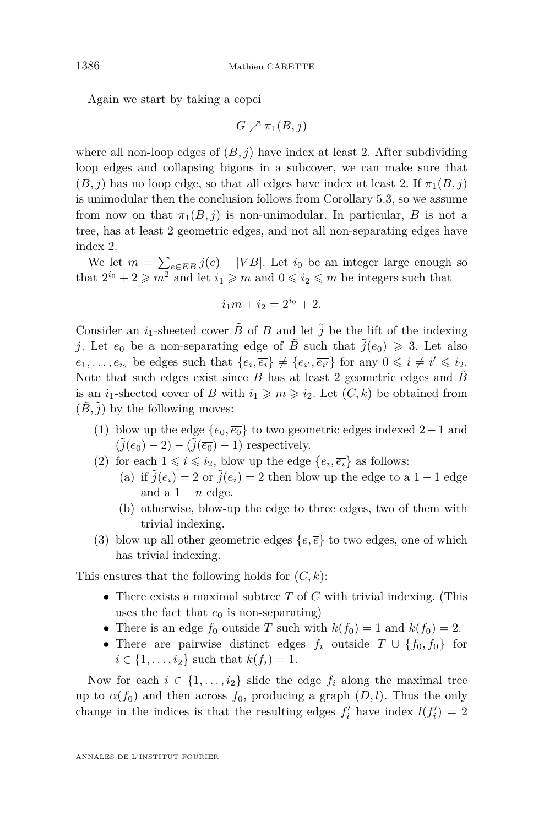Again we start by taking a copci

$$
G\nearrow \pi_1(B,j)
$$

where all non-loop edges of  $(B, j)$  have index at least 2. After subdividing loop edges and collapsing bigons in a subcover, we can make sure that  $(B, j)$  has no loop edge, so that all edges have index at least 2. If  $\pi_1(B, j)$ is unimodular then the conclusion follows from Corollary [5.3,](#page-20-2) so we assume from now on that  $\pi_1(B, j)$  is non-unimodular. In particular, *B* is not a tree, has at least 2 geometric edges, and not all non-separating edges have index 2.

We let  $m = \sum_{e \in EB} j(e) - |VB|$ . Let  $i_0$  be an integer large enough so that  $2^{i_0} + 2 \geqslant m^2$  and let  $i_1 \geqslant m$  and  $0 \leqslant i_2 \leqslant m$  be integers such that

$$
i_1m + i_2 = 2^{i_0} + 2.
$$

Consider an  $i_1$ -sheeted cover  $\tilde{B}$  of *B* and let  $\tilde{j}$  be the lift of the indexing *j*. Let  $e_0$  be a non-separating edge of  $\ddot{B}$  such that  $\ddot{j}(e_0) \geq 3$ . Let also  $e_1, \ldots, e_{i_2}$  be edges such that  $\{e_i, \overline{e_i}\} \neq \{e_{i'}, \overline{e_{i'}}\}$  for any  $0 \leq i \neq i' \leq i_2$ . Note that such edges exist since  $B$  has at least 2 geometric edges and  $B$ is an *i*<sub>1</sub>-sheeted cover of *B* with  $i_1 \geqslant m \geqslant i_2$ . Let  $(C, k)$  be obtained from  $(\tilde{B}, \tilde{j})$  by the following moves:

- (1) blow up the edge  $\{e_0, \overline{e_0}\}\$ to two geometric edges indexed 2 − 1 and  $(\tilde{j}(e_0) - 2) - (\tilde{j}(\overline{e_0}) - 1)$  respectively.
- (2) for each  $1 \leq i \leq i_2$ , blow up the edge  $\{e_i, \overline{e_i}\}$  as follows: (a) if  $\tilde{j}(e_i) = 2$  or  $\tilde{j}(\overline{e_i}) = 2$  then blow up the edge to a 1 − 1 edge and a  $1 - n$  edge.
	- (b) otherwise, blow-up the edge to three edges, two of them with trivial indexing.
- (3) blow up all other geometric edges  $\{e, \overline{e}\}$  to two edges, one of which has trivial indexing.

This ensures that the following holds for  $(C, k)$ :

- There exists a maximal subtree *T* of *C* with trivial indexing. (This uses the fact that  $e_0$  is non-separating)
- There is an edge  $f_0$  outside  $T$  such with  $k(f_0) = 1$  and  $k(f_0) = 2$ .
- There are pairwise distinct edges  $f_i$  outside  $T \cup \{f_0, \overline{f_0}\}\$  for  $i \in \{1, ..., i_2\}$  such that  $k(f_i) = 1$ .

Now for each  $i \in \{1, \ldots, i_2\}$  slide the edge  $f_i$  along the maximal tree up to  $\alpha(f_0)$  and then across  $f_0$ , producing a graph  $(D, l)$ . Thus the only change in the indices is that the resulting edges  $f'_{i}$  have index  $l(f'_{i}) = 2$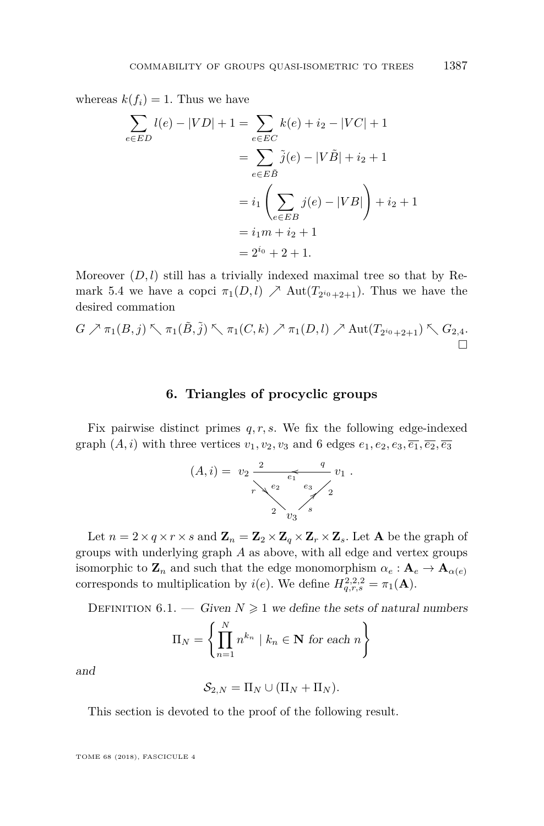whereas  $k(f_i) = 1$ . Thus we have

$$
\sum_{e \in ED} l(e) - |VD| + 1 = \sum_{e \in EC} k(e) + i_2 - |VC| + 1
$$

$$
= \sum_{e \in E\tilde{B}} \tilde{j}(e) - |V\tilde{B}| + i_2 + 1
$$

$$
= i_1 \left( \sum_{e \in EB} j(e) - |VB| \right) + i_2 + 1
$$

$$
= i_1 m + i_2 + 1
$$

$$
= 2^{i_0} + 2 + 1.
$$

Moreover  $(D, l)$  still has a trivially indexed maximal tree so that by Re-mark [5.4](#page-20-3) we have a copci  $\pi_1(D, l) \nearrow \text{Aut}(T_{2^{i_0}+2+1})$ . Thus we have the desired commation

$$
G \nearrow \pi_1(B, j) \nwarrow \pi_1(\tilde{B}, \tilde{j}) \nwarrow \pi_1(C, k) \nearrow \pi_1(D, l) \nearrow \text{Aut}(T_{2^{i_0}+2+1}) \nwarrow G_{2, 4}.
$$

#### **6. Triangles of procyclic groups**

<span id="page-23-0"></span>Fix pairwise distinct primes *q, r, s*. We fix the following edge-indexed graph  $(A, i)$  with three vertices  $v_1, v_2, v_3$  and 6 edges  $e_1, e_2, e_3, \overline{e_1}, \overline{e_2}, \overline{e_3}$ 

$$
(A, i) = v_2 \underbrace{\qquad \qquad}_{r \searrow e_2} e_1 \underbrace{\qquad \qquad}_{e_1} v_1 \qquad \qquad}_{2} v_2 \qquad \qquad
$$

Let  $n = 2 \times q \times r \times s$  and  $\mathbf{Z}_n = \mathbf{Z}_2 \times \mathbf{Z}_q \times \mathbf{Z}_r \times \mathbf{Z}_s$ . Let **A** be the graph of groups with underlying graph *A* as above, with all edge and vertex groups isomorphic to **Z**<sub>*n*</sub> and such that the edge monomorphism  $\alpha_e : \mathbf{A}_e \to \mathbf{A}_{\alpha(e)}$ corresponds to multiplication by  $i(e)$ . We define  $H_{q,r,s}^{2,2,2} = \pi_1(\mathbf{A})$ .

<span id="page-23-1"></span>DEFINITION 6.1. — Given  $N \geq 1$  we define the sets of natural numbers

$$
\Pi_N = \left\{ \prod_{n=1}^N n^{k_n} \mid k_n \in \mathbf{N} \text{ for each } n \right\}
$$

and

$$
\mathcal{S}_{2,N} = \Pi_N \cup (\Pi_N + \Pi_N).
$$

This section is devoted to the proof of the following result.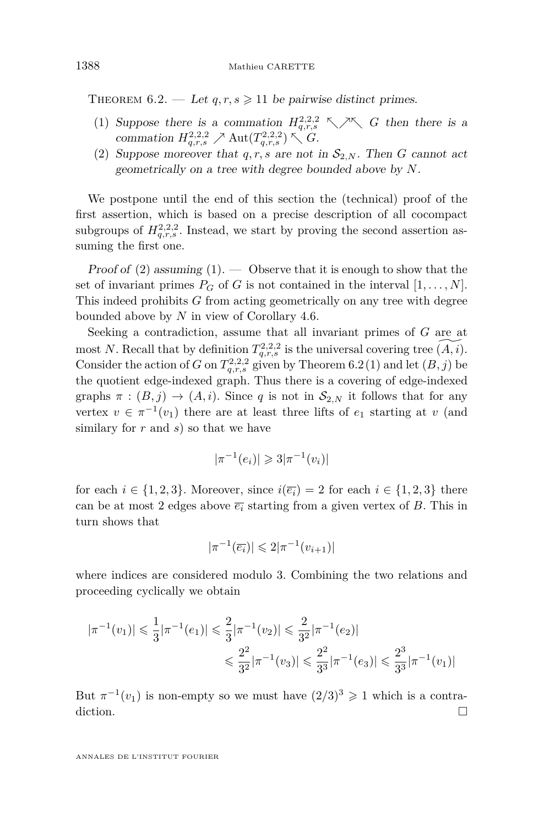<span id="page-24-0"></span>THEOREM  $6.2.$  — Let  $q, r, s \geq 11$  be pairwise distinct primes.

- <span id="page-24-2"></span>(1) Suppose there is a commation  $H_{q,r,s}^{2,2,2} \nwarrow \nearrow \nwarrow G$  then there is a commation  $H_{q,r,s}^{2,2,2} \nearrow \text{Aut}(T_{q,r,s}^{2,2,2}) \searrow G$ .
- <span id="page-24-1"></span>(2) Suppose moreover that  $q, r, s$  are not in  $S_{2,N}$ . Then *G* cannot act geometrically on a tree with degree bounded above by *N*.

We postpone until the end of this section the (technical) proof of the first assertion, which is based on a precise description of all cocompact subgroups of  $H_{q,r,s}^{2,2,2}$ . Instead, we start by proving the second assertion assuming the first one.

Proof of [\(2\)](#page-24-1) assuming  $(1)$ .  $\longrightarrow$  Observe that it is enough to show that the set of invariant primes  $P_G$  of *G* is not contained in the interval  $[1, \ldots, N]$ . This indeed prohibits *G* from acting geometrically on any tree with degree bounded above by *N* in view of Corollary [4.6.](#page-16-1)

Seeking a contradiction, assume that all invariant primes of *G* are at most *N*. Recall that by definition  $T_{q,r,s}^{2,2,2}$  is the universal covering tree  $\widetilde{(A,i)}$ . Consider the action of *G* on  $T_{q,r,s}^{2,2,2}$  given by Theorem [6.2](#page-24-0)[\(1\)](#page-24-2) and let  $(B, j)$  be the quotient edge-indexed graph. Thus there is a covering of edge-indexed graphs  $\pi : (B, j) \to (A, i)$ . Since q is not in  $S_{2,N}$  it follows that for any vertex  $v \in \pi^{-1}(v_1)$  there are at least three lifts of  $e_1$  starting at  $v$  (and similary for *r* and *s*) so that we have

$$
|\pi^{-1}(e_i)| \geq 3|\pi^{-1}(v_i)|
$$

for each  $i \in \{1, 2, 3\}$ . Moreover, since  $i(\overline{e_i}) = 2$  for each  $i \in \{1, 2, 3\}$  there can be at most 2 edges above  $\overline{e_i}$  starting from a given vertex of *B*. This in turn shows that

$$
|\pi^{-1}(\overline{e_i})|\leqslant 2|\pi^{-1}(v_{i+1})|
$$

where indices are considered modulo 3. Combining the two relations and proceeding cyclically we obtain

$$
|\pi^{-1}(v_1)| \leq \frac{1}{3} |\pi^{-1}(e_1)| \leq \frac{2}{3} |\pi^{-1}(v_2)| \leq \frac{2}{3^2} |\pi^{-1}(e_2)|
$$
  

$$
\leq \frac{2^2}{3^2} |\pi^{-1}(v_3)| \leq \frac{2^2}{3^3} |\pi^{-1}(e_3)| \leq \frac{2^3}{3^3} |\pi^{-1}(v_1)|
$$

But  $\pi^{-1}(v_1)$  is non-empty so we must have  $(2/3)^3 \geq 1$  which is a contradiction.  $\Box$ 

ANNALES DE L'INSTITUT FOURIER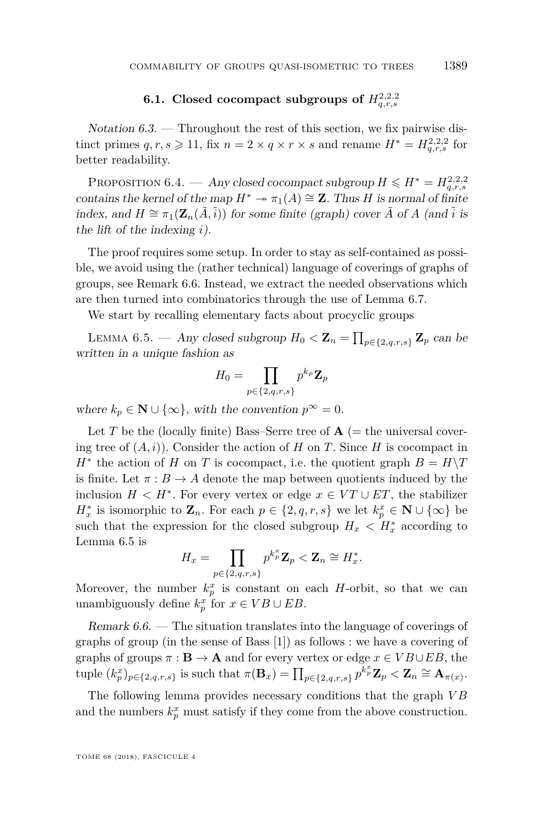### **6.1.** Closed cocompact subgroups of  $H_{q,r,s}^{2,2,2}$

Notation  $6.3.$  — Throughout the rest of this section, we fix pairwise distinct primes  $q, r, s \geq 11$ , fix  $n = 2 \times q \times r \times s$  and rename  $H^* = H_{q,r,s}^{2,2,2}$  for better readability.

<span id="page-25-2"></span>PROPOSITION 6.4. — Any closed cocompact subgroup  $H \le H^* = H_{q,r,s}^{2,2,2}$ contains the kernel of the map  $H^* \to \pi_1(A) \cong \mathbb{Z}$ . Thus *H* is normal of finite index, and  $H \cong \pi_1(\mathbf{Z}_n(A, \tilde{i}))$  for some finite (graph) cover *A* of *A* (and  $\tilde{i}$  is the lift of the indexing *i*).

The proof requires some setup. In order to stay as self-contained as possible, we avoid using the (rather technical) language of coverings of graphs of groups, see Remark [6.6.](#page-25-0) Instead, we extract the needed observations which are then turned into combinatorics through the use of Lemma [6.7.](#page-26-0)

We start by recalling elementary facts about procyclic groups

<span id="page-25-1"></span>LEMMA 6.5. — Any closed subgroup  $H_0 < \mathbf{Z}_n = \prod_{p \in \{2,q,r,s\}} \mathbf{Z}_p$  can be written in a unique fashion as

$$
H_0 = \prod_{p \in \{2,q,r,s\}} p^{k_p} \mathbf{Z}_p
$$

where  $k_p \in \mathbb{N} \cup \{\infty\}$ , with the convention  $p^{\infty} = 0$ .

Let *T* be the (locally finite) Bass–Serre tree of  $A$  (= the universal covering tree of  $(A, i)$ ). Consider the action of  $H$  on  $T$ . Since  $H$  is cocompact in  $H^*$  the action of *H* on *T* is cocompact, i.e. the quotient graph  $B = H \setminus T$ is finite. Let  $\pi : B \to A$  denote the map between quotients induced by the inclusion  $H < H^*$ . For every vertex or edge  $x \in VT \cup ET$ , the stabilizer  $H_x^*$  is isomorphic to **Z**<sub>*n*</sub>. For each  $p \in \{2, q, r, s\}$  we let  $k_p^x \in \mathbb{N} \cup \{\infty\}$  be such that the expression for the closed subgroup  $H_x < H_x^*$  according to Lemma [6.5](#page-25-1) is

$$
H_x = \prod_{p \in \{2,q,r,s\}} p^{k_p^x} \mathbf{Z}_p < \mathbf{Z}_n \cong H_x^*.
$$

Moreover, the number  $k_p^x$  is constant on each *H*-orbit, so that we can unambiguously define  $k_p^x$  for  $x \in VB \cup EB$ .

<span id="page-25-0"></span>Remark 6.6. — The situation translates into the language of coverings of graphs of group (in the sense of Bass [\[1\]](#page-33-10)) as follows : we have a covering of graphs of groups  $\pi : \mathbf{B} \to \mathbf{A}$  and for every vertex or edge  $x \in VB \cup EB$ , the tuple  $(k_p^x)_{p \in \{2,q,r,s\}}$  is such that  $\pi(\mathbf{B}_x) = \prod_{p \in \{2,q,r,s\}} p^{k_p^x} \mathbf{Z}_p < \mathbf{Z}_n \cong \mathbf{A}_{\pi(x)}$ .

The following lemma provides necessary conditions that the graph *V B* and the numbers  $k_p^x$  must satisfy if they come from the above construction.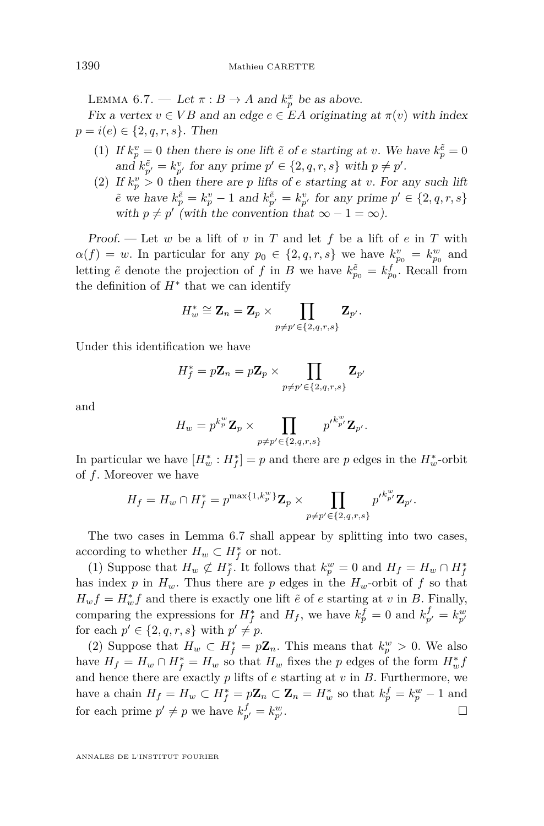<span id="page-26-0"></span>LEMMA 6.7. — Let  $\pi : B \to A$  and  $k_p^x$  be as above.

Fix a vertex  $v \in VB$  and an edge  $e \in EA$  originating at  $\pi(v)$  with index  $p = i(e) \in \{2, q, r, s\}$ . Then

- <span id="page-26-1"></span>(1) If  $k_p^v = 0$  then there is one lift  $\tilde{e}$  of *e* starting at *v*. We have  $k_p^{\tilde{e}} = 0$ and  $k_{p'}^{\tilde{e}} = k_{p'}^v$  for any prime  $p' \in \{2, q, r, s\}$  with  $p \neq p'$ .
- <span id="page-26-2"></span>(2) If  $k_p^v > 0$  then there are *p* lifts of *e* starting at *v*. For any such lift  $e^{\tilde{e}}$  we have  $k_p^{\tilde{e}} = k_p^v - 1$  and  $k_{p'}^{\tilde{e}} = k_{p'}^v$  for any prime  $p' \in \{2, q, r, s\}$ with  $p \neq p'$  (with the convention that  $\infty - 1 = \infty$ ).

Proof. — Let *w* be a lift of *v* in *T* and let *f* be a lift of *e* in *T* with  $\alpha(f) = w$ . In particular for any  $p_0 \in \{2, q, r, s\}$  we have  $k_{p_0}^v = k_{p_0}^w$  and letting  $\tilde{e}$  denote the projection of *f* in *B* we have  $k_{p_0}^{\tilde{e}} = k_{p_0}^f$ . Recall from the definition of  $H^*$  that we can identify

$$
H_w^* \cong \mathbf{Z}_n = \mathbf{Z}_p \times \prod_{p \neq p' \in \{2, q, r, s\}} \mathbf{Z}_{p'}.
$$

Under this identification we have

$$
H_f^* = p\mathbf{Z}_n = p\mathbf{Z}_p \times \prod_{p \neq p' \in \{2,q,r,s\}} \mathbf{Z}_{p'}
$$

and

$$
H_w = p^{k_p^w} \mathbf{Z}_p \times \prod_{p \neq p' \in \{2,q,r,s\}} p'^{k_{p'}^w} \mathbf{Z}_{p'}.
$$

In particular we have  $[H_w^*: H_f^*] = p$  and there are *p* edges in the  $H_w^*$ -orbit of *f*. Moreover we have

$$
H_f = H_w \cap H_f^* = p^{\max\{1, k_p^w\}} \mathbf{Z}_p \times \prod_{p \neq p' \in \{2, q, r, s\}} p'^{k_{p'}^w} \mathbf{Z}_{p'}.
$$

The two cases in Lemma [6.7](#page-26-0) shall appear by splitting into two cases, according to whether  $H_w \subset H_f^*$  or not.

[\(1\)](#page-26-1) Suppose that  $H_w \not\subset H_f^*$ . It follows that  $k_p^w = 0$  and  $H_f = H_w \cap H_f^*$ has index p in  $H_w$ . Thus there are p edges in the  $H_w$ -orbit of f so that  $H_w f = H_w^* f$  and there is exactly one lift  $\tilde{e}$  of *e* starting at *v* in *B*. Finally, comparing the expressions for  $H_f^*$  and  $H_f$ , we have  $k_p^f = 0$  and  $k_{p'}^f = k_{p'}^w$ for each  $p' \in \{2, q, r, s\}$  with  $p' \neq p$ .

[\(2\)](#page-26-2) Suppose that  $H_w \subset H_f^* = p\mathbb{Z}_n$ . This means that  $k_p^w > 0$ . We also have  $H_f = H_w \cap H_f^* = H_w$  so that  $H_w$  fixes the *p* edges of the form  $H_w^* f$ and hence there are exactly *p* lifts of *e* starting at *v* in *B*. Furthermore, we have a chain  $H_f = H_w \subset H_f^* = p\mathbb{Z}_n \subset \mathbb{Z}_n = H_w^*$  so that  $k_p^f = k_p^w - 1$  and for each prime  $p' \neq p$  we have  $k_{p'}^f = k_{p'}^w$  $p^w$  .  $\Box$ 

ANNALES DE L'INSTITUT FOURIER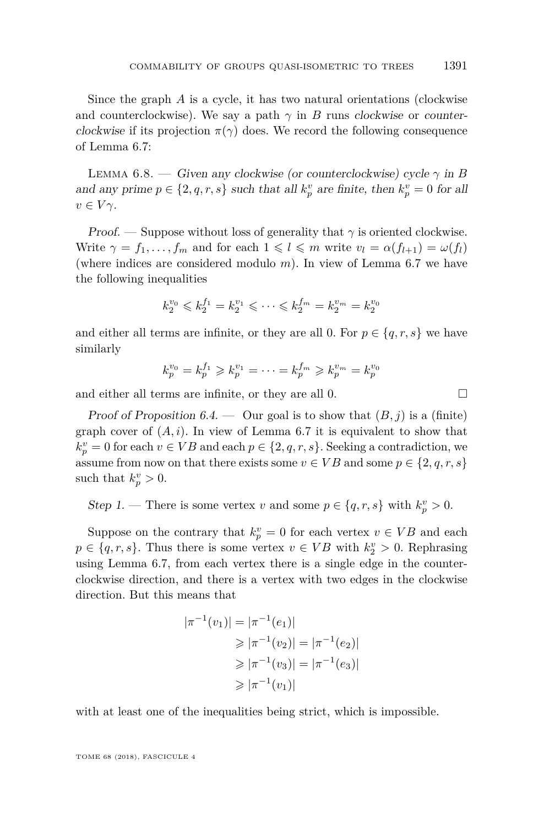Since the graph *A* is a cycle, it has two natural orientations (clockwise and counterclockwise). We say a path  $\gamma$  in *B* runs clockwise or counterclockwise if its projection  $\pi(\gamma)$  does. We record the following consequence of Lemma [6.7:](#page-26-0)

<span id="page-27-0"></span>LEMMA 6.8. — Given any clockwise (or counterclockwise) cycle  $\gamma$  in *B* and any prime  $p \in \{2, q, r, s\}$  such that all  $k_p^v$  are finite, then  $k_p^v = 0$  for all  $v \in V \gamma$ .

Proof. — Suppose without loss of generality that  $\gamma$  is oriented clockwise. Write  $\gamma = f_1, \ldots, f_m$  and for each  $1 \leq l \leq m$  write  $v_l = \alpha(f_{l+1}) = \omega(f_l)$ (where indices are considered modulo *m*). In view of Lemma [6.7](#page-26-0) we have the following inequalities

$$
k_2^{v_0} \leqslant k_2^{f_1} = k_2^{v_1} \leqslant \cdots \leqslant k_2^{f_m} = k_2^{v_m} = k_2^{v_0}
$$

and either all terms are infinite, or they are all 0. For  $p \in \{q, r, s\}$  we have similarly

$$
k_p^{v_0} = k_p^{f_1} \ge k_p^{v_1} = \dots = k_p^{f_m} \ge k_p^{v_m} = k_p^{v_0}
$$

and either all terms are infinite, or they are all 0.  $\Box$ 

Proof of Proposition [6.4.](#page-25-2) — Our goal is to show that  $(B, j)$  is a (finite) graph cover of  $(A, i)$ . In view of Lemma [6.7](#page-26-0) it is equivalent to show that  $k_p^v = 0$  for each  $v \in VB$  and each  $p \in \{2, q, r, s\}$ . Seeking a contradiction, we assume from now on that there exists some  $v \in VB$  and some  $p \in \{2, q, r, s\}$ such that  $k_p^v > 0$ .

Step 1. — There is some vertex *v* and some  $p \in \{q, r, s\}$  with  $k_p^v > 0$ .

Suppose on the contrary that  $k_p^v = 0$  for each vertex  $v \in VB$  and each  $p \in \{q, r, s\}$ . Thus there is some vertex  $v \in VB$  with  $k_2^v > 0$ . Rephrasing using Lemma [6.7,](#page-26-0) from each vertex there is a single edge in the counterclockwise direction, and there is a vertex with two edges in the clockwise direction. But this means that

$$
|\pi^{-1}(v_1)| = |\pi^{-1}(e_1)|
$$
  
\n
$$
\ge |\pi^{-1}(v_2)| = |\pi^{-1}(e_2)|
$$
  
\n
$$
\ge |\pi^{-1}(v_3)| = |\pi^{-1}(e_3)|
$$
  
\n
$$
\ge |\pi^{-1}(v_1)|
$$

with at least one of the inequalities being strict, which is impossible.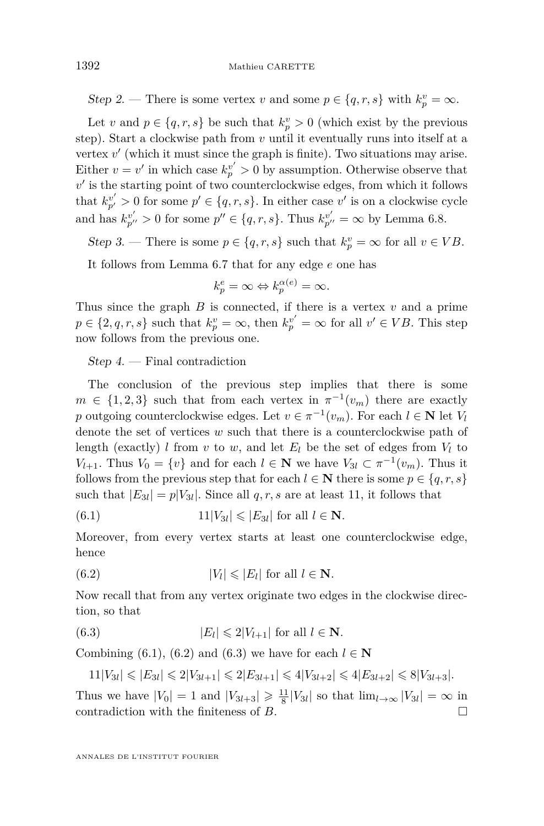Step 2. — There is some vertex *v* and some  $p \in \{q, r, s\}$  with  $k_p^v = \infty$ .

Let *v* and  $p \in \{q, r, s\}$  be such that  $k_p^v > 0$  (which exist by the previous step). Start a clockwise path from *v* until it eventually runs into itself at a vertex  $v'$  (which it must since the graph is finite). Two situations may arise. Either  $v = v'$  in which case  $k_p^{v'} > 0$  by assumption. Otherwise observe that  $v'$  is the starting point of two counterclockwise edges, from which it follows that  $k_{p'}^{v'} > 0$  for some  $p' \in \{q, r, s\}$ . In either case  $v'$  is on a clockwise cycle and has  $k_{p''}^{v'} > 0$  for some  $p'' \in \{q, r, s\}$ . Thus  $k_{p''}^{v'} = \infty$  by Lemma [6.8.](#page-27-0)

Step 3. — There is some  $p \in \{q, r, s\}$  such that  $k_p^v = \infty$  for all  $v \in VB$ .

It follows from Lemma [6.7](#page-26-0) that for any edge *e* one has

$$
k_p^e = \infty \Leftrightarrow k_p^{\alpha(e)} = \infty.
$$

Thus since the graph *B* is connected, if there is a vertex *v* and a prime  $p \in \{2, q, r, s\}$  such that  $k_p^v = \infty$ , then  $k_p^{v'} = \infty$  for all  $v' \in VB$ . This step now follows from the previous one.

 $Step 4.$  – Final contradiction

The conclusion of the previous step implies that there is some  $m \in \{1, 2, 3\}$  such that from each vertex in  $\pi^{-1}(v_m)$  there are exactly *p* outgoing counterclockwise edges. Let  $v \in \pi^{-1}(v_m)$ . For each  $l \in \mathbb{N}$  let  $V_l$ denote the set of vertices *w* such that there is a counterclockwise path of length (exactly) *l* from *v* to *w*, and let  $E_l$  be the set of edges from  $V_l$  to *V*<sub>*l*+1</sub>. Thus *V*<sup>0</sup> = {*v*} and for each *l* ∈ **N** we have *V*<sub>3*l*</sub> ⊂  $\pi$ <sup>-1</sup>(*v<sub>m</sub>*). Thus it follows from the previous step that for each  $l \in \mathbb{N}$  there is some  $p \in \{q, r, s\}$ such that  $|E_{3l}| = p|V_{3l}|$ . Since all  $q, r, s$  are at least 11, it follows that

<span id="page-28-0"></span>(6.1) 
$$
11|V_{3l}| \leqslant |E_{3l}| \text{ for all } l \in \mathbf{N}.
$$

Moreover, from every vertex starts at least one counterclockwise edge, hence

<span id="page-28-1"></span>(6.2) 
$$
|V_l| \leqslant |E_l| \text{ for all } l \in \mathbf{N}.
$$

Now recall that from any vertex originate two edges in the clockwise direction, so that

(6.3) 
$$
|E_l| \leq 2|V_{l+1}| \text{ for all } l \in \mathbf{N}.
$$

Combining [\(6.1\)](#page-28-0), [\(6.2\)](#page-28-1) and [\(6.3\)](#page-28-2) we have for each  $l \in \mathbb{N}$ 

<span id="page-28-2"></span>
$$
11|V_{3l}|\leqslant |E_{3l}|\leqslant 2|V_{3l+1}|\leqslant 2|E_{3l+1}|\leqslant 4|V_{3l+2}|\leqslant 4|E_{3l+2}|\leqslant 8|V_{3l+3}|.
$$

Thus we have  $|V_0| = 1$  and  $|V_{3l+3}| \geq \frac{11}{8}|V_{3l}|$  so that  $\lim_{l\to\infty} |V_{3l}| = \infty$  in contradiction with the finiteness of *B*.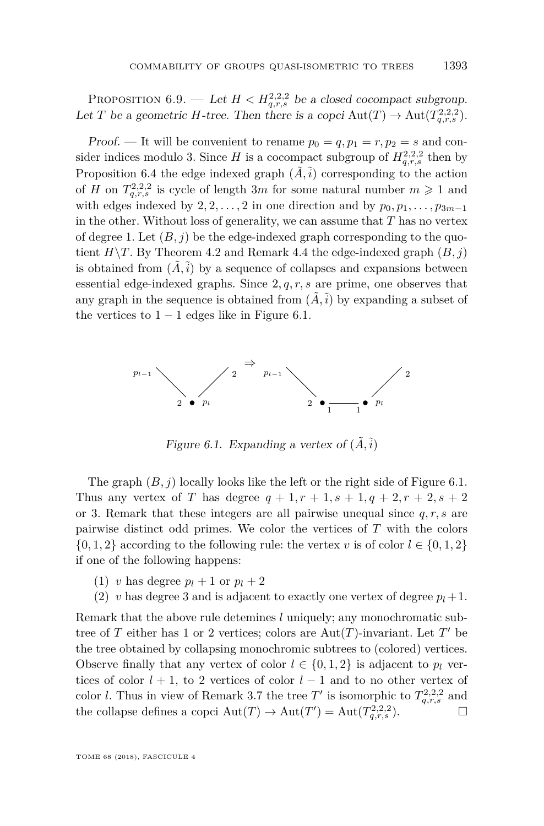<span id="page-29-1"></span>PROPOSITION  $6.9.$  — Let  $H < H_{q,r,s}^{2,2,2}$  be a closed cocompact subgroup. Let *T* be a geometric *H*-tree. Then there is a copci  $\text{Aut}(T) \to \text{Aut}(T_{q,r,s}^{2,2,2})$ .

Proof. — It will be convenient to rename  $p_0 = q$ ,  $p_1 = r$ ,  $p_2 = s$  and consider indices modulo 3. Since *H* is a cocompact subgroup of  $H_{q,r,s}^{2,2,2}$  then by Proposition [6.4](#page-25-2) the edge indexed graph  $(\tilde{A}, \tilde{i})$  corresponding to the action of *H* on  $T_{q,r,s}^{2,2,2}$  is cycle of length 3*m* for some natural number  $m \geq 1$  and with edges indexed by 2*,* 2*, ...,* 2 in one direction and by  $p_0, p_1, \ldots, p_{3m-1}$ in the other. Without loss of generality, we can assume that *T* has no vertex of degree 1. Let  $(B, j)$  be the edge-indexed graph corresponding to the quotient  $H \setminus T$ . By Theorem [4.2](#page-15-0) and Remark [4.4](#page-16-0) the edge-indexed graph  $(B, j)$ is obtained from  $(\tilde{A}, \tilde{i})$  by a sequence of collapses and expansions between essential edge-indexed graphs. Since 2*, q, r, s* are prime, one observes that any graph in the sequence is obtained from  $(\tilde{A}, \tilde{i})$  by expanding a subset of the vertices to  $1 - 1$  edges like in Figure [6.1.](#page-29-0)



<span id="page-29-0"></span>Figure 6.1. Expanding a vertex of  $(\tilde{A}, \tilde{i})$ 

The graph (*B, j*) locally looks like the left or the right side of Figure [6.1.](#page-29-0) Thus any vertex of *T* has degree  $q + 1, r + 1, s + 1, q + 2, r + 2, s + 2$ or 3. Remark that these integers are all pairwise unequal since *q, r, s* are pairwise distinct odd primes. We color the vertices of *T* with the colors  $\{0, 1, 2\}$  according to the following rule: the vertex *v* is of color  $l \in \{0, 1, 2\}$ if one of the following happens:

- (1) *v* has degree  $p_l + 1$  or  $p_l + 2$
- (2) *v* has degree 3 and is adjacent to exactly one vertex of degree  $p_l + 1$ .

Remark that the above rule detemines *l* uniquely; any monochromatic subtree of *T* either has 1 or 2 vertices; colors are  $Aut(T)$ -invariant. Let *T'* be the tree obtained by collapsing monochromic subtrees to (colored) vertices. Observe finally that any vertex of color  $l \in \{0, 1, 2\}$  is adjacent to  $p_l$  vertices of color *l* + 1, to 2 vertices of color *l* − 1 and to no other vertex of color *l*. Thus in view of Remark [3.7](#page-12-0) the tree  $T'$  is isomorphic to  $T_{q,r,s}^{2,2,2}$  and the collapse defines a copci  $\text{Aut}(T) \to \text{Aut}(T') = \text{Aut}(T_{q,r,s}^{2,2,2}).$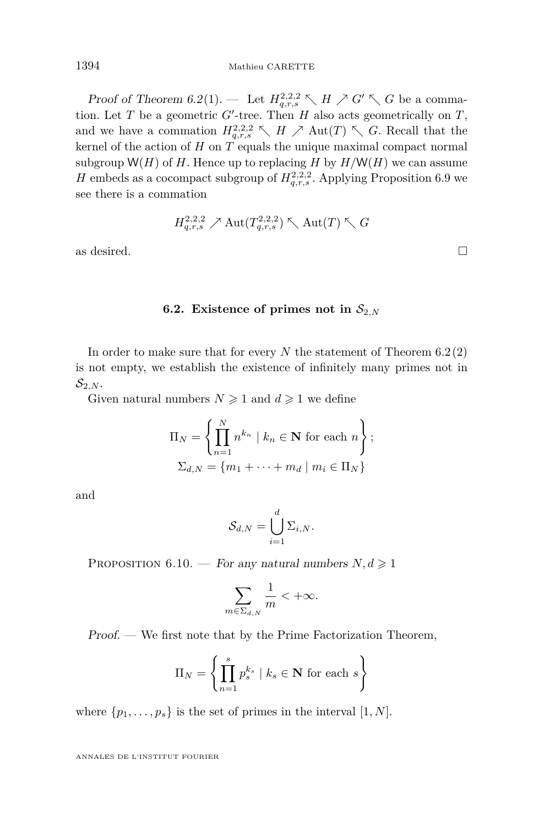Proof of Theorem [6.2](#page-24-0)[\(1\)](#page-24-2). — Let  $H_{q,r,s}^{2,2,2} \nwarrow H \nearrow G' \nwarrow G$  be a commation. Let  $T$  be a geometric  $G'$ -tree. Then  $H$  also acts geometrically on  $T$ , and we have a commation  $H_{q,r,s}^{2,2,2} \nwarrow H \nearrow \text{Aut}(T) \nwarrow G$ . Recall that the kernel of the action of *H* on *T* equals the unique maximal compact normal subgroup  $W(H)$  of *H*. Hence up to replacing *H* by  $H/W(H)$  we can assume *H* embeds as a cocompact subgroup of  $H_{q,r,s}^{2,2,2}$ . Applying Proposition [6.9](#page-29-1) we see there is a commation

$$
H_{q,r,s}^{2,2,2} \nearrow \text{Aut}(T_{q,r,s}^{2,2,2}) \nwarrow \text{Aut}(T) \nwarrow G
$$

as desired.  $\Box$ 

#### **6.2.** Existence of primes not in  $S_{2,N}$

<span id="page-30-1"></span>In order to make sure that for every *N* the statement of Theorem [6.2](#page-24-0)[\(2\)](#page-24-1) is not empty, we establish the existence of infinitely many primes not in  $\mathcal{S}_{2,N}$ .

Given natural numbers  $N \geq 1$  and  $d \geq 1$  we define

$$
\Pi_N = \left\{ \prod_{n=1}^N n^{k_n} \mid k_n \in \mathbf{N} \text{ for each } n \right\};
$$
  

$$
\Sigma_{d,N} = \{ m_1 + \dots + m_d \mid m_i \in \Pi_N \}
$$

and

$$
\mathcal{S}_{d,N} = \bigcup_{i=1}^d \Sigma_{i,N}.
$$

<span id="page-30-0"></span>PROPOSITION  $6.10.$  – For any natural numbers  $N, d \ge 1$ 

$$
\sum_{m \in \Sigma_{d,N}} \frac{1}{m} < +\infty.
$$

Proof. — We first note that by the Prime Factorization Theorem,

$$
\Pi_N = \left\{ \prod_{n=1}^s p_s^{k_s} \mid k_s \in \mathbf{N} \text{ for each } s \right\}
$$

where  $\{p_1, \ldots, p_s\}$  is the set of primes in the interval  $[1, N]$ .

ANNALES DE L'INSTITUT FOURIER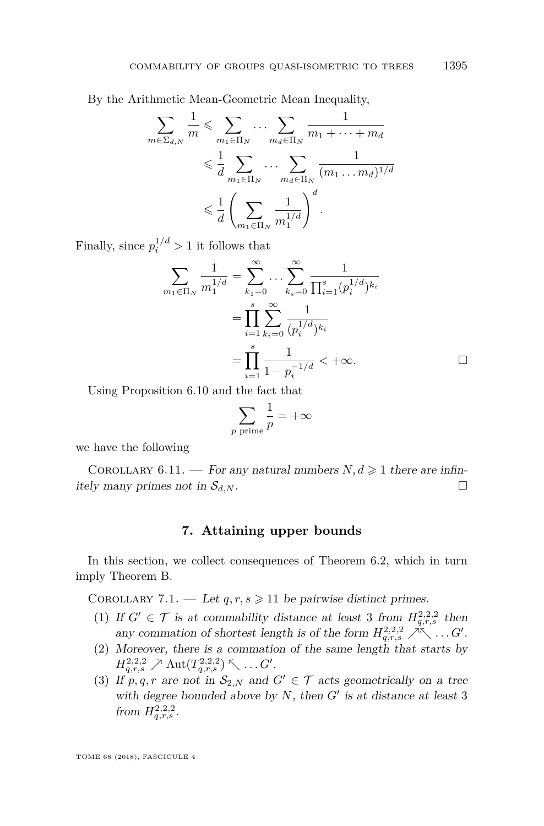By the Arithmetic Mean-Geometric Mean Inequality,

$$
\sum_{m \in \Sigma_{d,N}} \frac{1}{m} \leqslant \sum_{m_1 \in \Pi_N} \cdots \sum_{m_d \in \Pi_N} \frac{1}{m_1 + \cdots + m_d}
$$
  

$$
\leqslant \frac{1}{d} \sum_{m_1 \in \Pi_N} \cdots \sum_{m_d \in \Pi_N} \frac{1}{(m_1 \ldots m_d)^{1/d}}
$$
  

$$
\leqslant \frac{1}{d} \left( \sum_{m_1 \in \Pi_N} \frac{1}{m_1^{1/d}} \right)^d.
$$

Finally, since  $p_i^{1/d} > 1$  it follows that

$$
\sum_{m_1 \in \Pi_N} \frac{1}{m_1^{1/d}} = \sum_{k_1=0}^{\infty} \dots \sum_{k_s=0}^{\infty} \frac{1}{\prod_{i=1}^s (p_i^{1/d})^{k_i}}
$$

$$
= \prod_{i=1}^s \sum_{k_i=0}^{\infty} \frac{1}{(p_i^{1/d})^{k_i}}
$$

$$
= \prod_{i=1}^s \frac{1}{1 - p_i^{-1/d}} < +\infty.
$$

Using Proposition [6.10](#page-30-0) and the fact that

$$
\sum_{p \text{ prime}} \frac{1}{p} = +\infty
$$

we have the following

<span id="page-31-1"></span>COROLLARY 6.11. — For any natural numbers  $N, d \geq 1$  there are infinitely many primes not in  $S_{d,N}$ .

#### **7. Attaining upper bounds**

<span id="page-31-0"></span>In this section, we collect consequences of Theorem [6.2,](#page-24-0) which in turn imply Theorem [B.](#page-3-0)

<span id="page-31-4"></span><span id="page-31-2"></span>COROLLARY 7.1. — Let  $q, r, s \geq 11$  be pairwise distinct primes.

- (1) If  $G' \in \mathcal{T}$  is at commability distance at least 3 from  $H_{q,r,s}^{2,2,2}$  then any commation of shortest length is of the form  $H_{q,r,s}^{2,2,2} \nearrow \sim \ldots G'$ .
- <span id="page-31-5"></span>(2) Moreover, there is a commation of the same length that starts by  $H_{q,r,s}^{2,2,2} \nearrow \text{Aut}(T_{q,r,s}^{2,2,2}) \nwarrow \dots G'.$
- <span id="page-31-3"></span>(3) If p, q, r are not in  $S_{2,N}$  and  $G' \in \mathcal{T}$  acts geometrically on a tree with degree bounded above by  $N$ , then  $G'$  is at distance at least 3 from  $H_{q,r,s}^{2,2,2}$ .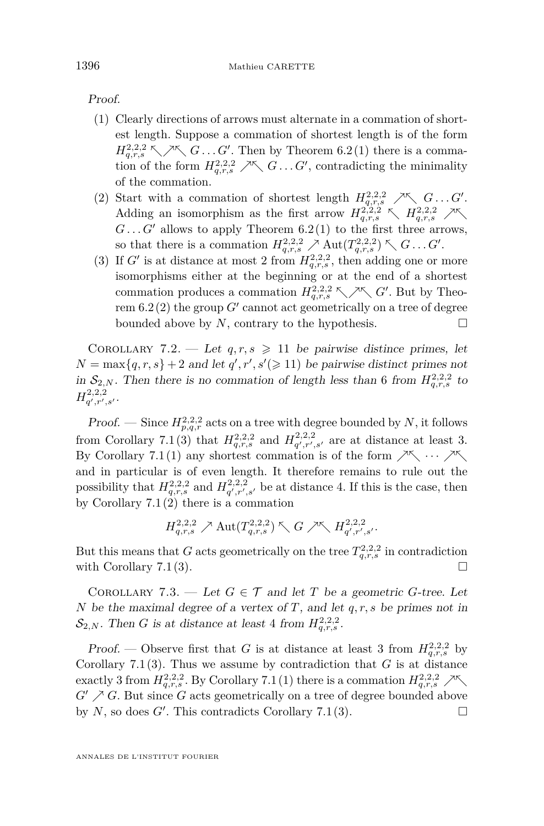Proof.

- (1) Clearly directions of arrows must alternate in a commation of shortest length. Suppose a commation of shortest length is of the form  $H_{q,r,s}^{2,2,2} \nwarrow \nearrow \nwarrow G \dots G'$ . Then by Theorem [6.2](#page-24-0)[\(1\)](#page-24-2) there is a commation of the form  $H_{q,r,s}^{2,2,2} \nearrow \subset G \dots G'$ , contradicting the minimality of the commation.
- (2) Start with a commation of shortest length  $H_{q,r,s}^{2,2,2} \nearrow \subset G \dots G'$ . Adding an isomorphism as the first arrow  $H_{q,r,s}^{2,2,2} \sim H_{q,r,s}^{2,2,2} \nearrow \sim$  $G \dots G'$  allows to apply Theorem [6.2\(](#page-24-0)[1\)](#page-24-2) to the first three arrows, so that there is a commation  $H_{q,r,s}^{2,2,2} \nearrow \text{Aut}(T_{q,r,s}^{2,2,2}) \nwarrow G \dots G'$ .
- (3) If *G'* is at distance at most 2 from  $H_{q,r,s}^{2,2,2}$ , then adding one or more isomorphisms either at the beginning or at the end of a shortest commation produces a commation  $H_{q,r,s}^{2,2,2} \nwarrow \nearrow \nwarrow G'$ . But by Theorem  $6.2(2)$  $6.2(2)$  the group  $G'$  cannot act geometrically on a tree of degree bounded above by  $N$ , contrary to the hypothesis.  $\Box$

<span id="page-32-0"></span>COROLLARY 7.2. — Let  $q, r, s \geq 11$  be pairwise distince primes, let  $N = \max\{q, r, s\} + 2$  and let  $q', r', s' \geq 11$  be pairwise distinct primes not in  $S_{2,N}$ . Then there is no commation of length less than 6 from  $H_{q,r,s}^{2,2,2}$  to  $H_{q',r',s'}^{2,2,2}$ .

Proof. — Since  $H_{p,q,r}^{2,2,2}$  acts on a tree with degree bounded by N, it follows from Corollary [7.1](#page-31-2)[\(3\)](#page-31-3) that  $H_{q,r,s}^{2,2,2}$  and  $H_{q',r',s'}^{2,2,2}$  are at distance at least 3. By Corollary [7.1](#page-31-2)[\(1\)](#page-31-4) any shortest commation is of the form  $\nearrow \sim \cdots \nearrow \sim$ and in particular is of even length. It therefore remains to rule out the possibility that  $H_{q,r,s}^{2,2,2}$  and  $H_{q',r',s'}^{2,2,2}$  be at distance 4. If this is the case, then by Corollary [7.1](#page-31-2)[\(2\)](#page-31-5) there is a commation

$$
H_{q,r,s}^{2,2,2}\nearrow \text{Aut}(T_{q,r,s}^{2,2,2})\nwarrow G\nearrow \nwarrow H_{q',r',s'}^{2,2,2}.
$$

But this means that *G* acts geometrically on the tree  $T_{q,r,s}^{2,2,2}$  in contradiction with Corollary [7.1](#page-31-2)[\(3\)](#page-31-3).  $\Box$ 

<span id="page-32-1"></span>COROLLARY 7.3. — Let  $G \in \mathcal{T}$  and let *T* be a geometric *G*-tree. Let *N* be the maximal degree of a vertex of *T*, and let *q, r, s* be primes not in  $\mathcal{S}_{2,N}$ . Then *G* is at distance at least 4 from  $H_{q,r,s}^{2,2,2}$ .

*Proof.* — Observe first that *G* is at distance at least 3 from  $H_{q,r,s}^{2,2,2}$  by Corollary [7.1](#page-31-2)[\(3\)](#page-31-3). Thus we assume by contradiction that  $G$  is at distance exactly 3 from  $H_{q,r,s}^{2,2,2}$ . By Corollary [7.1](#page-31-2) [\(1\)](#page-31-4) there is a commation  $H_{q,r,s}^{2,2,2}$  / $\sim$  $G' \nearrow G$ . But since *G* acts geometrically on a tree of degree bounded above by *N*, so does *G'*. This contradicts Corollary [7.1](#page-31-2)[\(3\)](#page-31-3).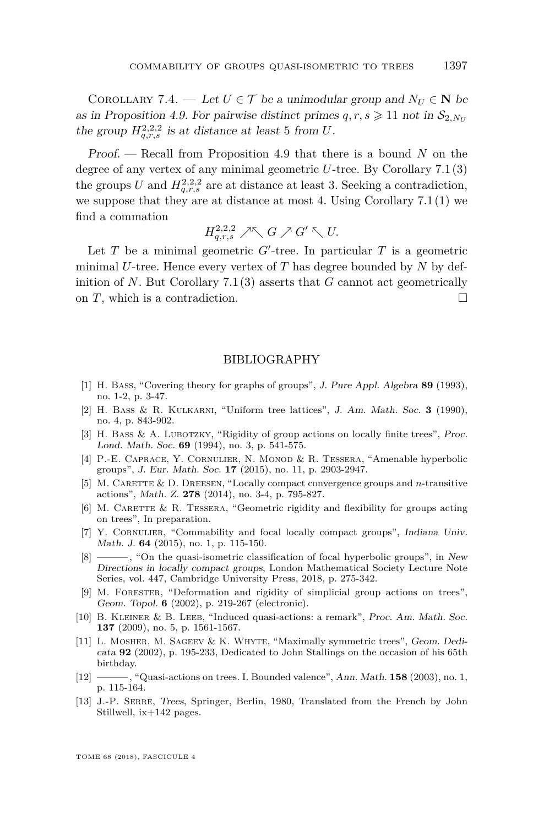<span id="page-33-6"></span>COROLLARY 7.4. — Let  $U \in \mathcal{T}$  be a unimodular group and  $N_U \in \mathbb{N}$  be as in Proposition [4.9.](#page-17-0) For pairwise distinct primes  $q, r, s \geq 11$  not in  $\mathcal{S}_{2,N_{\text{U}}}$ the group  $H_{q,r,s}^{2,2,2}$  is at distance at least 5 from *U*.

Proof. — Recall from Proposition [4.9](#page-17-0) that there is a bound *N* on the degree of any vertex of any minimal geometric *U*-tree. By Corollary [7.1](#page-31-2)[\(3\)](#page-31-3) the groups *U* and  $H_{q,r,s}^{2,2,2}$  are at distance at least 3. Seeking a contradiction, we suppose that they are at distance at most 4. Using Corollary  $7.1(1)$  $7.1(1)$  we find a commation

$$
H_{q,r,s}^{2,2,2} \nearrow \hspace{-0.5mm} \nwarrow G \nearrow G' \nwarrow U.
$$

Let  $T$  be a minimal geometric  $G'$ -tree. In particular  $T$  is a geometric minimal *U*-tree. Hence every vertex of *T* has degree bounded by *N* by definition of *N*. But Corollary [7.1](#page-31-2)[\(3\)](#page-31-3) asserts that *G* cannot act geometrically on  $T$ , which is a contradiction.

#### BIBLIOGRAPHY

- <span id="page-33-10"></span>[1] H. Bass, "Covering theory for graphs of groups", J. Pure Appl. Algebra **89** (1993), no. 1-2, p. 3-47.
- <span id="page-33-3"></span>[2] H. Bass & R. Kulkarni, "Uniform tree lattices", J. Am. Math. Soc. **3** (1990), no. 4, p. 843-902.
- <span id="page-33-13"></span>[3] H. Bass & A. Lubotzky, "Rigidity of group actions on locally finite trees", Proc. Lond. Math. Soc. **69** (1994), no. 3, p. 541-575.
- <span id="page-33-7"></span>[4] P.-E. Caprace, Y. Cornulier, N. Monod & R. Tessera, "Amenable hyperbolic groups", J. Eur. Math. Soc. **17** (2015), no. 11, p. 2903-2947.
- <span id="page-33-8"></span>[5] M. Carette & D. Dreesen, "Locally compact convergence groups and *n*-transitive actions", Math. Z. **278** (2014), no. 3-4, p. 795-827.
- <span id="page-33-0"></span>[6] M. CARETTE  $&$  R. TESSERA, "Geometric rigidity and flexibility for groups acting on trees", In preparation.
- <span id="page-33-2"></span>[7] Y. Cornulier, "Commability and focal locally compact groups", Indiana Univ. Math. J. **64** (2015), no. 1, p. 115-150.
- <span id="page-33-1"></span>[8] ——— , "On the quasi-isometric classification of focal hyperbolic groups", in New Directions in locally compact groups, London Mathematical Society Lecture Note Series, vol. 447, Cambridge University Press, 2018, p. 275-342.
- <span id="page-33-12"></span>[9] M. FORESTER, "Deformation and rigidity of simplicial group actions on trees", Geom. Topol. **6** (2002), p. 219-267 (electronic).
- <span id="page-33-5"></span>[10] B. Kleiner & B. Leeb, "Induced quasi-actions: a remark", Proc. Am. Math. Soc. **137** (2009), no. 5, p. 1561-1567.
- <span id="page-33-11"></span>[11] L. Mosher, M. Sageev & K. Whyte, "Maximally symmetric trees", Geom. Dedicata **92** (2002), p. 195-233, Dedicated to John Stallings on the occasion of his 65th birthday.
- <span id="page-33-4"></span>[12] ——— , "Quasi-actions on trees. I. Bounded valence", Ann. Math. **158** (2003), no. 1, p. 115-164.
- <span id="page-33-9"></span>[13] J.-P. Serre, Trees, Springer, Berlin, 1980, Translated from the French by John Stillwell, ix+142 pages.